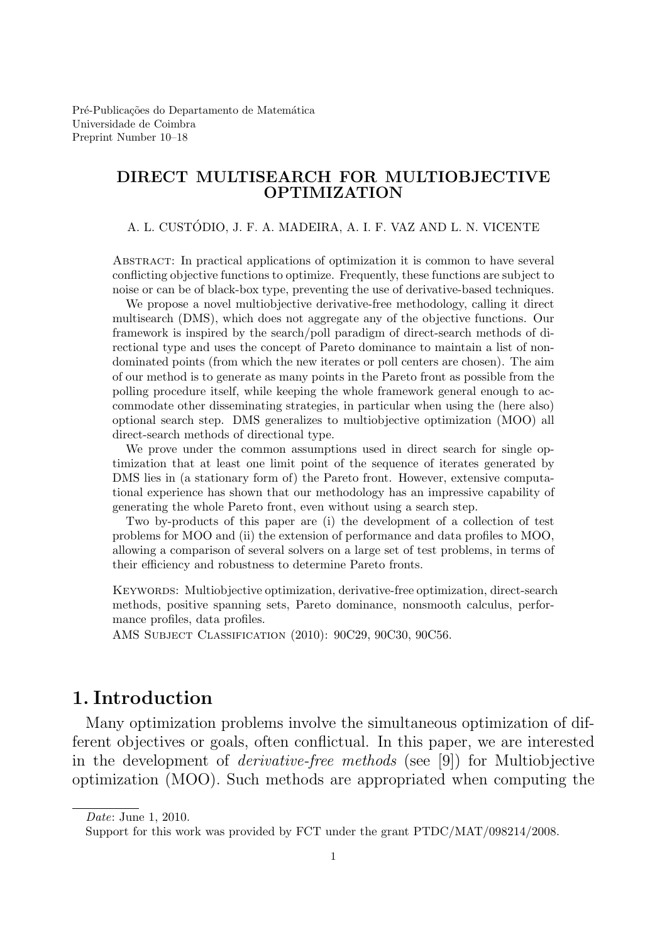Pré-Publicações do Departamento de Matemática Universidade de Coimbra Preprint Number 10–18

#### DIRECT MULTISEARCH FOR MULTIOBJECTIVE OPTIMIZATION

#### A. L. CUSTODIO, J. F. A. MADEIRA, A. I. F. VAZ AND L. N. VICENTE ´

Abstract: In practical applications of optimization it is common to have several conflicting objective functions to optimize. Frequently, these functions are subject to noise or can be of black-box type, preventing the use of derivative-based techniques.

We propose a novel multiobjective derivative-free methodology, calling it direct multisearch (DMS), which does not aggregate any of the objective functions. Our framework is inspired by the search/poll paradigm of direct-search methods of directional type and uses the concept of Pareto dominance to maintain a list of nondominated points (from which the new iterates or poll centers are chosen). The aim of our method is to generate as many points in the Pareto front as possible from the polling procedure itself, while keeping the whole framework general enough to accommodate other disseminating strategies, in particular when using the (here also) optional search step. DMS generalizes to multiobjective optimization (MOO) all direct-search methods of directional type.

We prove under the common assumptions used in direct search for single optimization that at least one limit point of the sequence of iterates generated by DMS lies in (a stationary form of) the Pareto front. However, extensive computational experience has shown that our methodology has an impressive capability of generating the whole Pareto front, even without using a search step.

Two by-products of this paper are (i) the development of a collection of test problems for MOO and (ii) the extension of performance and data profiles to MOO, allowing a comparison of several solvers on a large set of test problems, in terms of their efficiency and robustness to determine Pareto fronts.

Keywords: Multiobjective optimization, derivative-free optimization, direct-search methods, positive spanning sets, Pareto dominance, nonsmooth calculus, performance profiles, data profiles.

AMS Subject Classification (2010): 90C29, 90C30, 90C56.

## 1. Introduction

Many optimization problems involve the simultaneous optimization of different objectives or goals, often conflictual. In this paper, we are interested in the development of derivative-free methods (see [9]) for Multiobjective optimization (MOO). Such methods are appropriated when computing the

Date: June 1, 2010.

Support for this work was provided by FCT under the grant PTDC/MAT/098214/2008.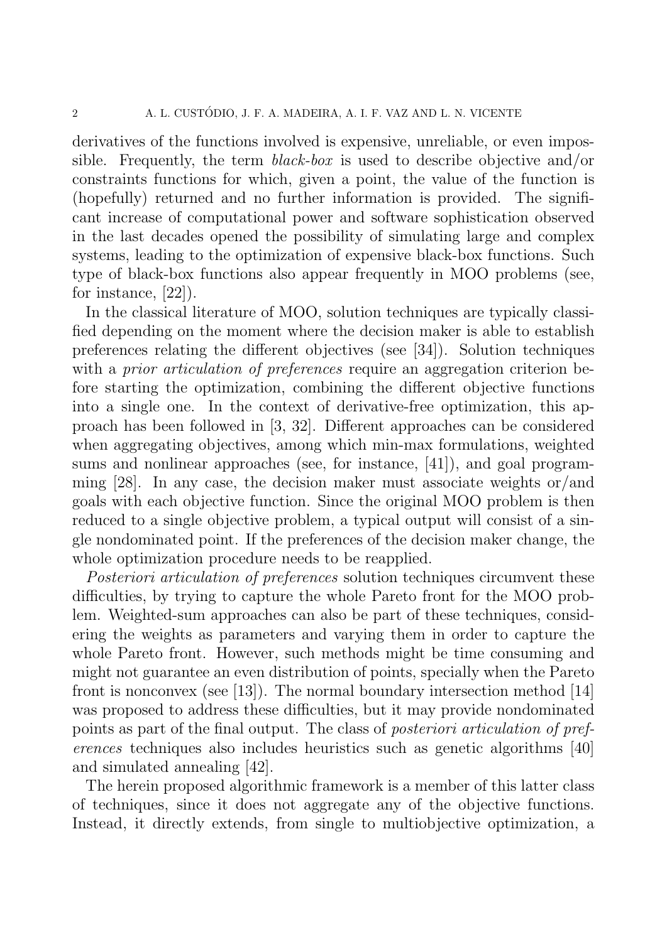#### 2 A. L. CUSTÓDIO, J. F. A. MADEIRA, A. I. F. VAZ AND L. N. VICENTE

derivatives of the functions involved is expensive, unreliable, or even impossible. Frequently, the term black-box is used to describe objective and/or constraints functions for which, given a point, the value of the function is (hopefully) returned and no further information is provided. The significant increase of computational power and software sophistication observed in the last decades opened the possibility of simulating large and complex systems, leading to the optimization of expensive black-box functions. Such type of black-box functions also appear frequently in MOO problems (see, for instance, [22]).

In the classical literature of MOO, solution techniques are typically classified depending on the moment where the decision maker is able to establish preferences relating the different objectives (see [34]). Solution techniques with a *prior articulation of preferences* require an aggregation criterion before starting the optimization, combining the different objective functions into a single one. In the context of derivative-free optimization, this approach has been followed in [3, 32]. Different approaches can be considered when aggregating objectives, among which min-max formulations, weighted sums and nonlinear approaches (see, for instance, [41]), and goal programming [28]. In any case, the decision maker must associate weights or/and goals with each objective function. Since the original MOO problem is then reduced to a single objective problem, a typical output will consist of a single nondominated point. If the preferences of the decision maker change, the whole optimization procedure needs to be reapplied.

Posteriori articulation of preferences solution techniques circumvent these difficulties, by trying to capture the whole Pareto front for the MOO problem. Weighted-sum approaches can also be part of these techniques, considering the weights as parameters and varying them in order to capture the whole Pareto front. However, such methods might be time consuming and might not guarantee an even distribution of points, specially when the Pareto front is nonconvex (see [13]). The normal boundary intersection method [14] was proposed to address these difficulties, but it may provide nondominated points as part of the final output. The class of posteriori articulation of preferences techniques also includes heuristics such as genetic algorithms [40] and simulated annealing [42].

The herein proposed algorithmic framework is a member of this latter class of techniques, since it does not aggregate any of the objective functions. Instead, it directly extends, from single to multiobjective optimization, a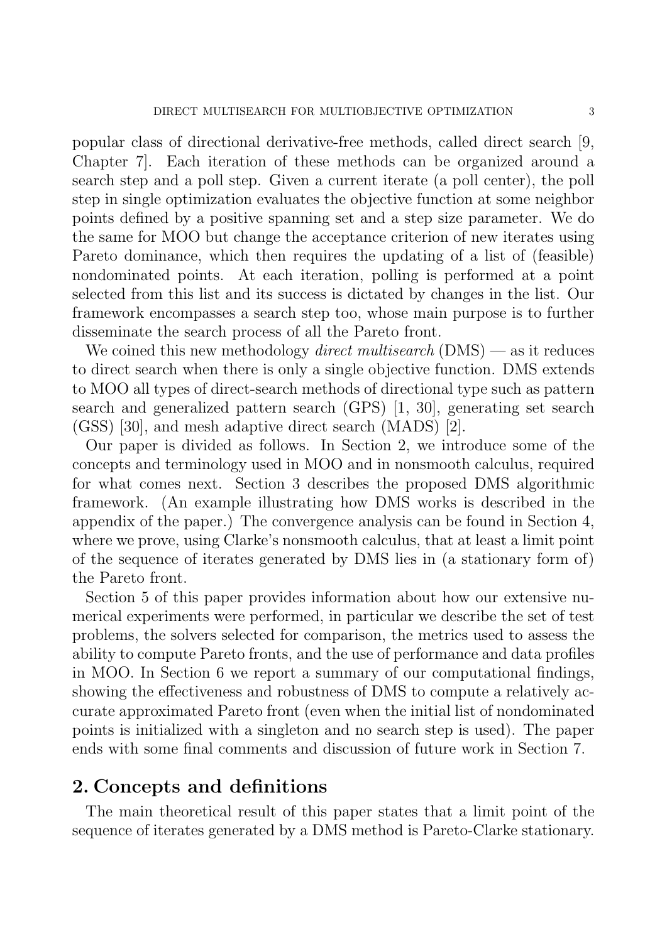popular class of directional derivative-free methods, called direct search [9, Chapter 7]. Each iteration of these methods can be organized around a search step and a poll step. Given a current iterate (a poll center), the poll step in single optimization evaluates the objective function at some neighbor points defined by a positive spanning set and a step size parameter. We do the same for MOO but change the acceptance criterion of new iterates using Pareto dominance, which then requires the updating of a list of (feasible) nondominated points. At each iteration, polling is performed at a point selected from this list and its success is dictated by changes in the list. Our framework encompasses a search step too, whose main purpose is to further disseminate the search process of all the Pareto front.

We coined this new methodology *direct multisearch*  $(DMS)$  — as it reduces to direct search when there is only a single objective function. DMS extends to MOO all types of direct-search methods of directional type such as pattern search and generalized pattern search (GPS) [1, 30], generating set search (GSS) [30], and mesh adaptive direct search (MADS) [2].

Our paper is divided as follows. In Section 2, we introduce some of the concepts and terminology used in MOO and in nonsmooth calculus, required for what comes next. Section 3 describes the proposed DMS algorithmic framework. (An example illustrating how DMS works is described in the appendix of the paper.) The convergence analysis can be found in Section 4, where we prove, using Clarke's nonsmooth calculus, that at least a limit point of the sequence of iterates generated by DMS lies in (a stationary form of) the Pareto front.

Section 5 of this paper provides information about how our extensive numerical experiments were performed, in particular we describe the set of test problems, the solvers selected for comparison, the metrics used to assess the ability to compute Pareto fronts, and the use of performance and data profiles in MOO. In Section 6 we report a summary of our computational findings, showing the effectiveness and robustness of DMS to compute a relatively accurate approximated Pareto front (even when the initial list of nondominated points is initialized with a singleton and no search step is used). The paper ends with some final comments and discussion of future work in Section 7.

### 2. Concepts and definitions

The main theoretical result of this paper states that a limit point of the sequence of iterates generated by a DMS method is Pareto-Clarke stationary.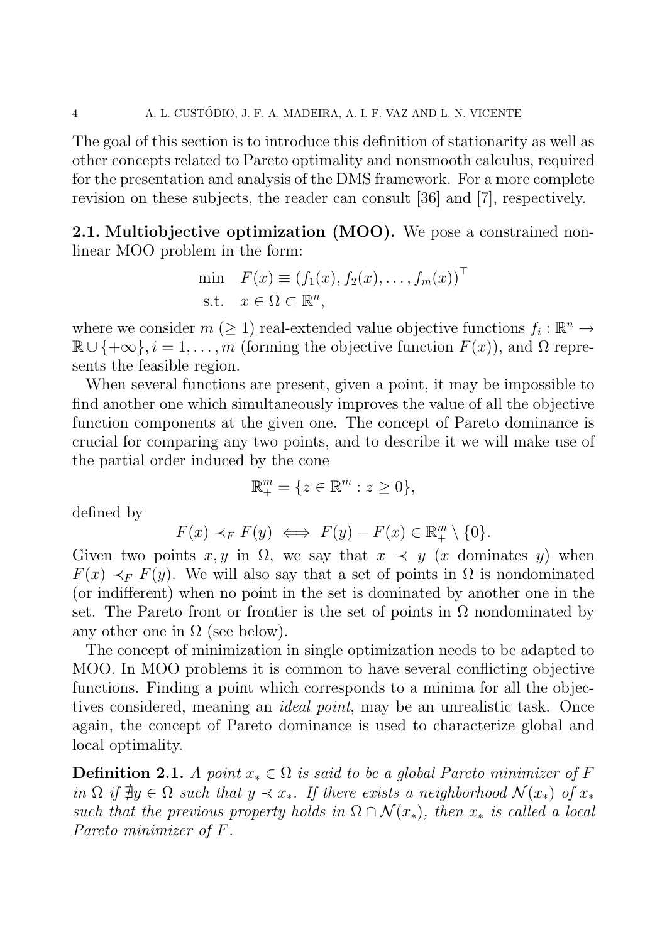The goal of this section is to introduce this definition of stationarity as well as other concepts related to Pareto optimality and nonsmooth calculus, required for the presentation and analysis of the DMS framework. For a more complete revision on these subjects, the reader can consult [36] and [7], respectively.

2.1. Multiobjective optimization (MOO). We pose a constrained nonlinear MOO problem in the form:

$$
\min \quad F(x) \equiv (f_1(x), f_2(x), \dots, f_m(x))^\top
$$
  
s.t.  $x \in \Omega \subset \mathbb{R}^n$ ,

where we consider  $m \ (\geq 1)$  real-extended value objective functions  $f_i : \mathbb{R}^n \to$  $\mathbb{R} \cup \{+\infty\}, i = 1, \ldots, m$  (forming the objective function  $F(x)$ ), and  $\Omega$  represents the feasible region.

When several functions are present, given a point, it may be impossible to find another one which simultaneously improves the value of all the objective function components at the given one. The concept of Pareto dominance is crucial for comparing any two points, and to describe it we will make use of the partial order induced by the cone

$$
\mathbb{R}^m_+ = \{ z \in \mathbb{R}^m : z \ge 0 \},
$$

defined by

$$
F(x) \prec_F F(y) \iff F(y) - F(x) \in \mathbb{R}^m_+ \setminus \{0\}.
$$

Given two points x, y in  $\Omega$ , we say that  $x \prec y$  (x dominates y) when  $F(x) \prec_F F(y)$ . We will also say that a set of points in  $\Omega$  is nondominated (or indifferent) when no point in the set is dominated by another one in the set. The Pareto front or frontier is the set of points in  $\Omega$  nondominated by any other one in  $\Omega$  (see below).

The concept of minimization in single optimization needs to be adapted to MOO. In MOO problems it is common to have several conflicting objective functions. Finding a point which corresponds to a minima for all the objectives considered, meaning an *ideal point*, may be an unrealistic task. Once again, the concept of Pareto dominance is used to characterize global and local optimality.

**Definition 2.1.** A point  $x_* \in \Omega$  is said to be a global Pareto minimizer of F in  $\Omega$  if  $\exists y \in \Omega$  such that  $y \prec x_*$ . If there exists a neighborhood  $\mathcal{N}(x_*)$  of  $x_*$ such that the previous property holds in  $\Omega \cap \mathcal{N}(x_*)$ , then  $x_*$  is called a local Pareto minimizer of F.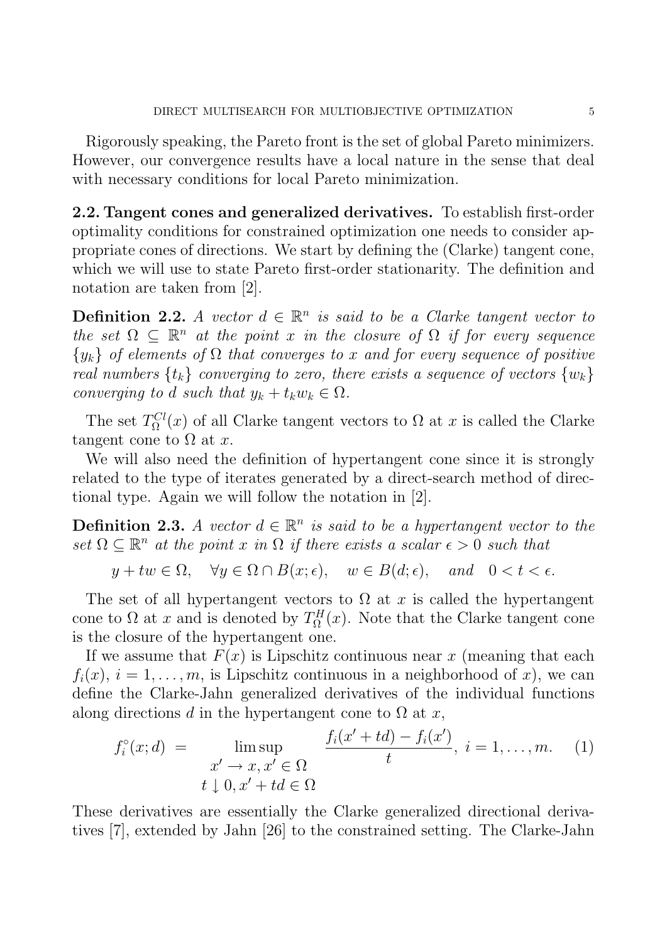Rigorously speaking, the Pareto front is the set of global Pareto minimizers. However, our convergence results have a local nature in the sense that deal with necessary conditions for local Pareto minimization.

2.2. Tangent cones and generalized derivatives. To establish first-order optimality conditions for constrained optimization one needs to consider appropriate cones of directions. We start by defining the (Clarke) tangent cone, which we will use to state Pareto first-order stationarity. The definition and notation are taken from [2].

**Definition 2.2.** A vector  $d \in \mathbb{R}^n$  is said to be a Clarke tangent vector to the set  $\Omega \subseteq \mathbb{R}^n$  at the point x in the closure of  $\Omega$  if for every sequence  ${y_k}$  of elements of  $\Omega$  that converges to x and for every sequence of positive real numbers  $\{t_k\}$  converging to zero, there exists a sequence of vectors  $\{w_k\}$ converging to d such that  $y_k + t_k w_k \in \Omega$ .

The set  $T_{\Omega}^{Cl}$  $\Omega^{Cl}(x)$  of all Clarke tangent vectors to  $\Omega$  at x is called the Clarke tangent cone to  $\Omega$  at x.

We will also need the definition of hypertangent cone since it is strongly related to the type of iterates generated by a direct-search method of directional type. Again we will follow the notation in [2].

**Definition 2.3.** A vector  $d \in \mathbb{R}^n$  is said to be a hypertangent vector to the set  $\Omega \subseteq \mathbb{R}^n$  at the point x in  $\Omega$  if there exists a scalar  $\epsilon > 0$  such that

 $y + tw \in \Omega$ ,  $\forall y \in \Omega \cap B(x; \epsilon)$ ,  $w \in B(d; \epsilon)$ , and  $0 < t < \epsilon$ .

The set of all hypertangent vectors to  $\Omega$  at x is called the hypertangent cone to  $\Omega$  at x and is denoted by  $T_{\Omega}^H$  $\Omega^{H}(x)$ . Note that the Clarke tangent cone is the closure of the hypertangent one.

If we assume that  $F(x)$  is Lipschitz continuous near x (meaning that each  $f_i(x), i = 1, \ldots, m$ , is Lipschitz continuous in a neighborhood of x, we can define the Clarke-Jahn generalized derivatives of the individual functions along directions d in the hypertangent cone to  $\Omega$  at x,

$$
f_i^{\circ}(x; d) = \limsup_{\substack{x' \to x, x' \in \Omega \\ t \downarrow 0, x' + td \in \Omega}} \frac{f_i(x' + td) - f_i(x')}{t}, \ i = 1, \dots, m. \tag{1}
$$

These derivatives are essentially the Clarke generalized directional derivatives [7], extended by Jahn [26] to the constrained setting. The Clarke-Jahn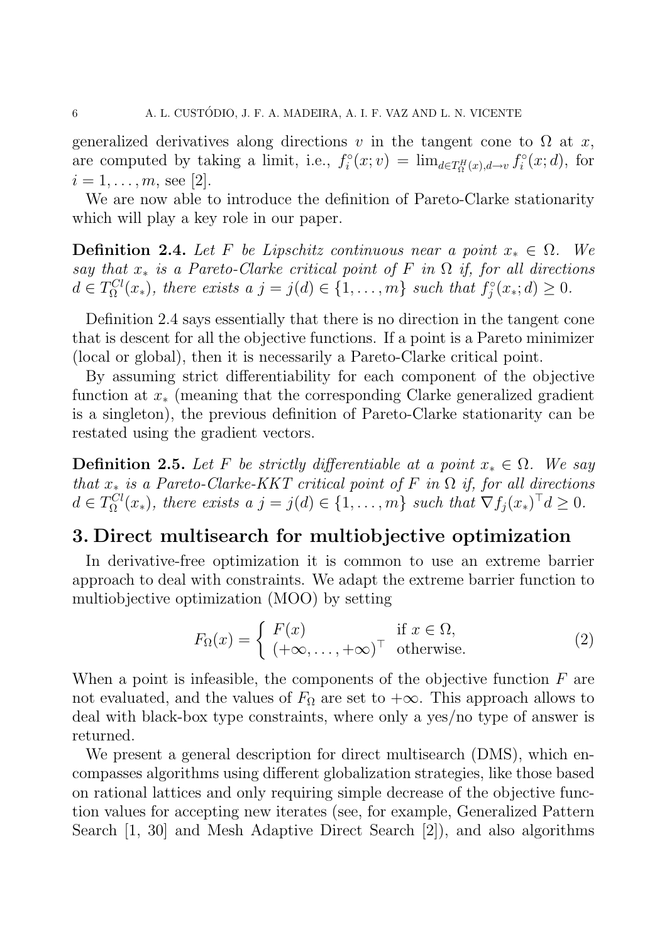generalized derivatives along directions v in the tangent cone to  $\Omega$  at x, are computed by taking a limit, i.e.,  $f_i^{\circ}$  $i^{\circ}(x; v) = \lim_{d \in T_{\Omega}^H(x), d \to v} f_i^{\circ}$  $\int_i^{\infty} (x; d)$ , for  $i = 1, \ldots, m$ , see [2].

We are now able to introduce the definition of Pareto-Clarke stationarity which will play a key role in our paper.

**Definition 2.4.** Let F be Lipschitz continuous near a point  $x_* \in \Omega$ . We say that  $x_*$  is a Pareto-Clarke critical point of F in  $\Omega$  if, for all directions  $d \in T_{\Omega}^{Cl}$  $C^{Cl}(x_*)$ , there exists  $a \, j = j(d) \in \{1, \ldots, m\}$  such that  $f_j^{\circ}$ ;° $(x_*, d) \ge 0$ .

Definition 2.4 says essentially that there is no direction in the tangent cone that is descent for all the objective functions. If a point is a Pareto minimizer (local or global), then it is necessarily a Pareto-Clarke critical point.

By assuming strict differentiability for each component of the objective function at  $x_*$  (meaning that the corresponding Clarke generalized gradient is a singleton), the previous definition of Pareto-Clarke stationarity can be restated using the gradient vectors.

**Definition 2.5.** Let F be strictly differentiable at a point  $x_* \in \Omega$ . We say that  $x_*$  is a Pareto-Clarke-KKT critical point of F in  $\Omega$  if, for all directions  $d \in T_{\Omega}^{Cl}$  $C^{Cl}(x_*)$ , there exists  $a \, j = j(d) \in \{1, \ldots, m\}$  such that  $\nabla f_j(x_*)^\top d \geq 0$ .

## 3. Direct multisearch for multiobjective optimization

In derivative-free optimization it is common to use an extreme barrier approach to deal with constraints. We adapt the extreme barrier function to multiobjective optimization (MOO) by setting

$$
F_{\Omega}(x) = \begin{cases} F(x) & \text{if } x \in \Omega, \\ (+\infty, ..., +\infty)^\top & \text{otherwise.} \end{cases}
$$
 (2)

When a point is infeasible, the components of the objective function  $F$  are not evaluated, and the values of  $F_{\Omega}$  are set to  $+\infty$ . This approach allows to deal with black-box type constraints, where only a yes/no type of answer is returned.

We present a general description for direct multisearch (DMS), which encompasses algorithms using different globalization strategies, like those based on rational lattices and only requiring simple decrease of the objective function values for accepting new iterates (see, for example, Generalized Pattern Search [1, 30] and Mesh Adaptive Direct Search [2]), and also algorithms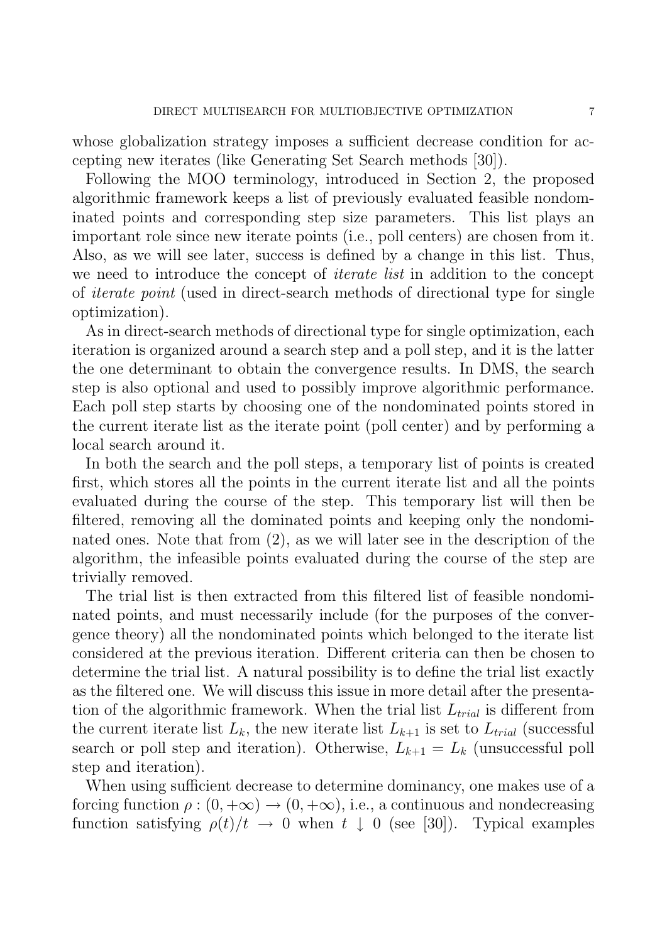whose globalization strategy imposes a sufficient decrease condition for accepting new iterates (like Generating Set Search methods [30]).

Following the MOO terminology, introduced in Section 2, the proposed algorithmic framework keeps a list of previously evaluated feasible nondominated points and corresponding step size parameters. This list plays an important role since new iterate points (i.e., poll centers) are chosen from it. Also, as we will see later, success is defined by a change in this list. Thus, we need to introduce the concept of *iterate list* in addition to the concept of iterate point (used in direct-search methods of directional type for single optimization).

As in direct-search methods of directional type for single optimization, each iteration is organized around a search step and a poll step, and it is the latter the one determinant to obtain the convergence results. In DMS, the search step is also optional and used to possibly improve algorithmic performance. Each poll step starts by choosing one of the nondominated points stored in the current iterate list as the iterate point (poll center) and by performing a local search around it.

In both the search and the poll steps, a temporary list of points is created first, which stores all the points in the current iterate list and all the points evaluated during the course of the step. This temporary list will then be filtered, removing all the dominated points and keeping only the nondominated ones. Note that from (2), as we will later see in the description of the algorithm, the infeasible points evaluated during the course of the step are trivially removed.

The trial list is then extracted from this filtered list of feasible nondominated points, and must necessarily include (for the purposes of the convergence theory) all the nondominated points which belonged to the iterate list considered at the previous iteration. Different criteria can then be chosen to determine the trial list. A natural possibility is to define the trial list exactly as the filtered one. We will discuss this issue in more detail after the presentation of the algorithmic framework. When the trial list  $L_{trial}$  is different from the current iterate list  $L_k$ , the new iterate list  $L_{k+1}$  is set to  $L_{trial}$  (successful search or poll step and iteration). Otherwise,  $L_{k+1} = L_k$  (unsuccessful poll step and iteration).

When using sufficient decrease to determine dominancy, one makes use of a forcing function  $\rho : (0, +\infty) \to (0, +\infty)$ , i.e., a continuous and nondecreasing function satisfying  $\rho(t)/t \to 0$  when  $t \downarrow 0$  (see [30]). Typical examples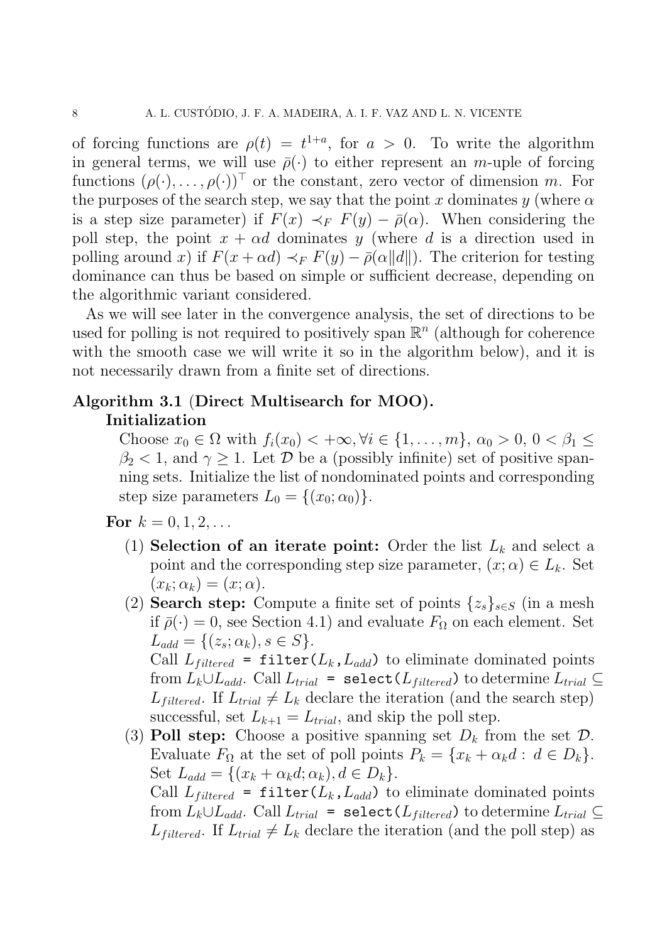of forcing functions are  $\rho(t) = t^{1+a}$ , for  $a > 0$ . To write the algorithm in general terms, we will use  $\bar{\rho}(\cdot)$  to either represent an *m*-uple of forcing functions  $(\rho(\cdot), \ldots, \rho(\cdot))^{\top}$  or the constant, zero vector of dimension m. For the purposes of the search step, we say that the point x dominates y (where  $\alpha$ is a step size parameter) if  $F(x) \prec_F F(y) - \bar{\rho}(\alpha)$ . When considering the poll step, the point  $x + \alpha d$  dominates y (where d is a direction used in polling around x) if  $F(x + \alpha d) \prec_F F(y) - \bar{\rho}(\alpha ||d||)$ . The criterion for testing dominance can thus be based on simple or sufficient decrease, depending on the algorithmic variant considered.

As we will see later in the convergence analysis, the set of directions to be used for polling is not required to positively span  $\mathbb{R}^n$  (although for coherence with the smooth case we will write it so in the algorithm below), and it is not necessarily drawn from a finite set of directions.

### Algorithm 3.1 (Direct Multisearch for MOO). Initialization

Choose  $x_0 \in \Omega$  with  $f_i(x_0) < +\infty, \forall i \in \{1, \ldots, m\}, \alpha_0 > 0, 0 < \beta_1 \le$  $\beta_2$  < 1, and  $\gamma \geq 1$ . Let D be a (possibly infinite) set of positive spanning sets. Initialize the list of nondominated points and corresponding step size parameters  $L_0 = \{(x_0; \alpha_0)\}.$ 

For  $k = 0, 1, 2, ...$ 

- (1) Selection of an iterate point: Order the list  $L_k$  and select a point and the corresponding step size parameter,  $(x; \alpha) \in L_k$ . Set  $(x_k;\alpha_k)=(x;\alpha).$
- (2) Search step: Compute a finite set of points  $\{z_s\}_{s\in S}$  (in a mesh if  $\bar{\rho}(\cdot) = 0$ , see Section 4.1) and evaluate  $F_{\Omega}$  on each element. Set  $L_{add} = \{(z_s; \alpha_k), s \in S\}.$ Call  $L_{filtered} = filter(L_k, L_{add})$  to eliminate dominated points from  $L_k \cup L_{add}$ . Call  $L_{trial}$  = select( $L_{filtered}$ ) to determine  $L_{trial} \subseteq$  $L_{\text{filtered}}$ . If  $L_{\text{trial}} \neq L_k$  declare the iteration (and the search step)

successful, set  $L_{k+1} = L_{trial}$ , and skip the poll step.

(3) Poll step: Choose a positive spanning set  $D_k$  from the set  $\mathcal{D}$ . Evaluate  $F_{\Omega}$  at the set of poll points  $P_k = \{x_k + \alpha_k d : d \in D_k\}.$ Set  $L_{add} = \{(x_k + \alpha_k d; \alpha_k), d \in D_k\}.$ Call  $L_{filtered} = filter(L_k, L_{add})$  to eliminate dominated points

from  $L_k \cup L_{add}$ . Call  $L_{trial}$  = select( $L_{filtered}$ ) to determine  $L_{trial} \subseteq$  $L_{\text{filtered}}$ . If  $L_{\text{trial}} \neq L_k$  declare the iteration (and the poll step) as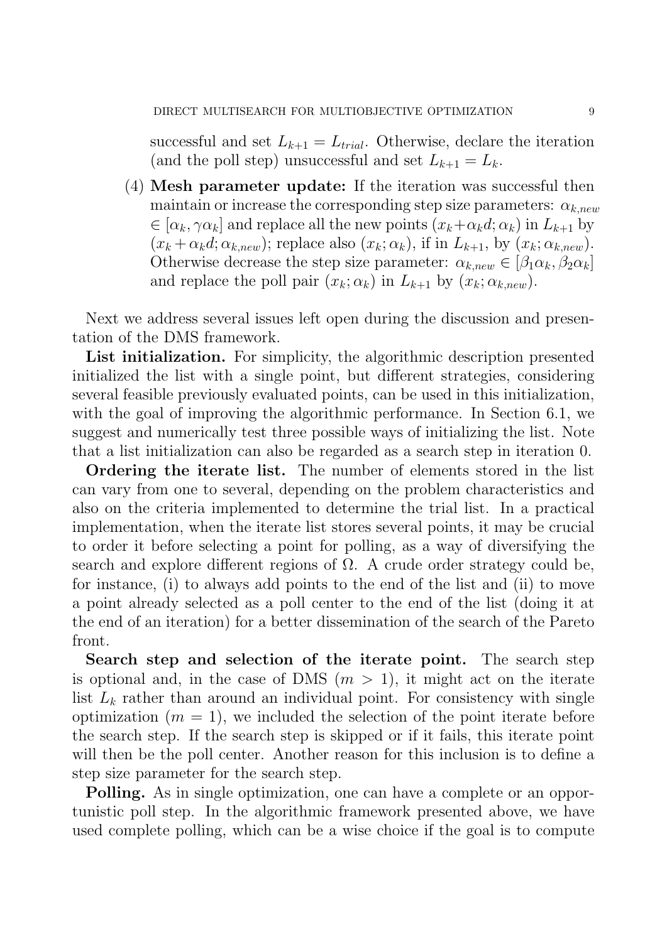successful and set  $L_{k+1} = L_{trial}$ . Otherwise, declare the iteration (and the poll step) unsuccessful and set  $L_{k+1} = L_k$ .

(4) Mesh parameter update: If the iteration was successful then maintain or increase the corresponding step size parameters:  $\alpha_{k,new}$  $\in [\alpha_k, \gamma \alpha_k]$  and replace all the new points  $(x_k+\alpha_k d; \alpha_k)$  in  $L_{k+1}$  by  $(x_k + \alpha_k d; \alpha_{k,new})$ ; replace also  $(x_k; \alpha_k)$ , if in  $L_{k+1}$ , by  $(x_k; \alpha_{k,new})$ . Otherwise decrease the step size parameter:  $\alpha_{k,new} \in [\beta_1 \alpha_k, \beta_2 \alpha_k]$ and replace the poll pair  $(x_k; \alpha_k)$  in  $L_{k+1}$  by  $(x_k; \alpha_{k,new})$ .

Next we address several issues left open during the discussion and presentation of the DMS framework.

List initialization. For simplicity, the algorithmic description presented initialized the list with a single point, but different strategies, considering several feasible previously evaluated points, can be used in this initialization, with the goal of improving the algorithmic performance. In Section 6.1, we suggest and numerically test three possible ways of initializing the list. Note that a list initialization can also be regarded as a search step in iteration 0.

Ordering the iterate list. The number of elements stored in the list can vary from one to several, depending on the problem characteristics and also on the criteria implemented to determine the trial list. In a practical implementation, when the iterate list stores several points, it may be crucial to order it before selecting a point for polling, as a way of diversifying the search and explore different regions of  $\Omega$ . A crude order strategy could be, for instance, (i) to always add points to the end of the list and (ii) to move a point already selected as a poll center to the end of the list (doing it at the end of an iteration) for a better dissemination of the search of the Pareto front.

Search step and selection of the iterate point. The search step is optional and, in the case of DMS  $(m > 1)$ , it might act on the iterate list  $L_k$  rather than around an individual point. For consistency with single optimization  $(m = 1)$ , we included the selection of the point iterate before the search step. If the search step is skipped or if it fails, this iterate point will then be the poll center. Another reason for this inclusion is to define a step size parameter for the search step.

Polling. As in single optimization, one can have a complete or an opportunistic poll step. In the algorithmic framework presented above, we have used complete polling, which can be a wise choice if the goal is to compute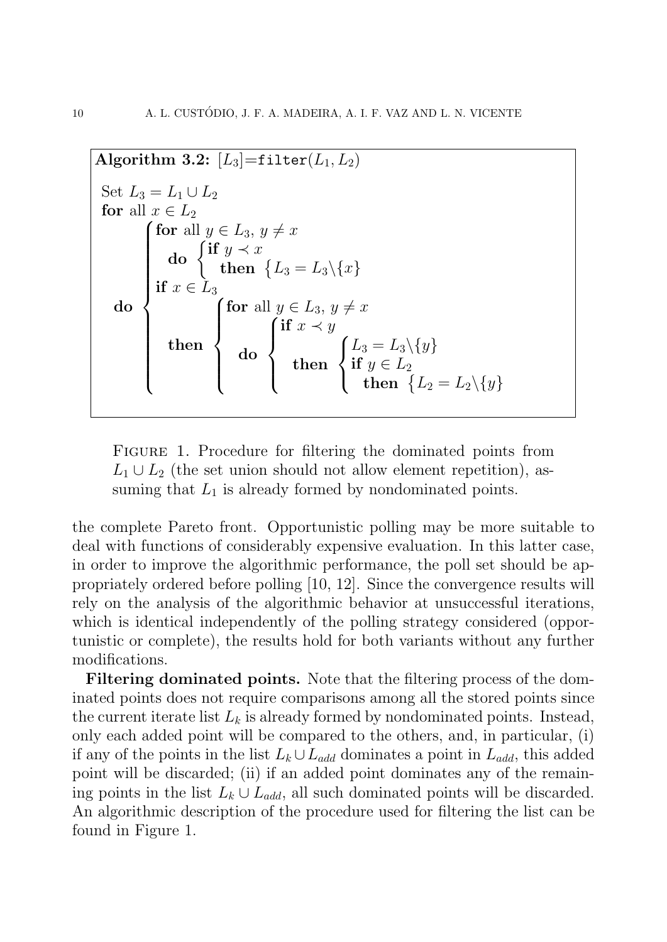Algorithm 3.2:  $[L_3]=$ filter $(L_1, L_2)$ Set  $L_3 = L_1 \cup L_2$ for all  $x \in L_2$ do for all  $y \in L_3$ ,  $y \neq x$  $\begin{array}{c} \hline \end{array}$  $\begin{array}{c} \hline \end{array}$  $\int \n\mathbf{d} \mathbf{o} \n\begin{cases} \n\mathbf{if } y \prec x \\ \n\mathbf{then} \n\end{cases}$ then  $\{L_3 = L_3 \setminus \{x\}$ if  $x \in L_3$ then  $\sqrt{ }$  $\int$  $\overline{\mathcal{L}}$ for all  $y \in L_3$ ,  $y \neq x$ do  $\sqrt{ }$  $\int$  $\overline{\mathcal{L}}$ if  $x \prec y$ then  $\sqrt{ }$  $\int$  $\mathcal{L}$  $L_3 = L_3 \backslash \{y\}$ if  $y \in L_2$ then  $\{L_2 = L_2 \setminus \{y\}$ 

FIGURE 1. Procedure for filtering the dominated points from  $L_1 \cup L_2$  (the set union should not allow element repetition), assuming that  $L_1$  is already formed by nondominated points.

the complete Pareto front. Opportunistic polling may be more suitable to deal with functions of considerably expensive evaluation. In this latter case, in order to improve the algorithmic performance, the poll set should be appropriately ordered before polling [10, 12]. Since the convergence results will rely on the analysis of the algorithmic behavior at unsuccessful iterations, which is identical independently of the polling strategy considered (opportunistic or complete), the results hold for both variants without any further modifications.

Filtering dominated points. Note that the filtering process of the dominated points does not require comparisons among all the stored points since the current iterate list  $L_k$  is already formed by nondominated points. Instead, only each added point will be compared to the others, and, in particular, (i) if any of the points in the list  $L_k \cup L_{add}$  dominates a point in  $L_{add}$ , this added point will be discarded; (ii) if an added point dominates any of the remaining points in the list  $L_k \cup L_{add}$ , all such dominated points will be discarded. An algorithmic description of the procedure used for filtering the list can be found in Figure 1.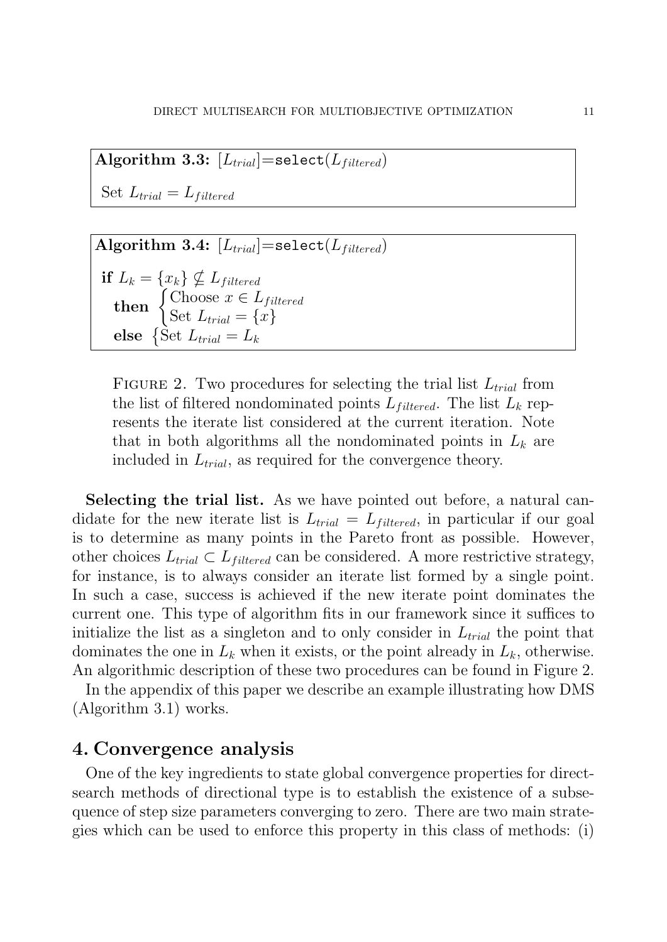Algorithm 3.3:  $[L_{trial}] = \texttt{select}(L_{filtered})$ 

Set  $L_{trial} = L_{filtered}$ 

Algorithm 3.4:  $[L_{trial}] = \texttt{select}(L_{filtered})$ if  $L_k = \{x_k\} \nsubseteq L_{filtered}$ 

then  $\begin{cases} \text{Choose } x \in L_{filtered} \\ \text{Set } I \end{cases}$ Set  $L_{trial} = \{x\}$ else  $\{\text{Set } L_{trial} = L_k\}$ 

FIGURE 2. Two procedures for selecting the trial list  $L_{trial}$  from the list of filtered nondominated points  $L_{filtered}$ . The list  $L_k$  represents the iterate list considered at the current iteration. Note that in both algorithms all the nondominated points in  $L_k$  are included in  $L<sub>trial</sub>$ , as required for the convergence theory.

Selecting the trial list. As we have pointed out before, a natural candidate for the new iterate list is  $L_{trial} = L_{filtered}$ , in particular if our goal is to determine as many points in the Pareto front as possible. However, other choices  $L_{trial} \subset L_{filtered}$  can be considered. A more restrictive strategy, for instance, is to always consider an iterate list formed by a single point. In such a case, success is achieved if the new iterate point dominates the current one. This type of algorithm fits in our framework since it suffices to initialize the list as a singleton and to only consider in  $L_{trial}$  the point that dominates the one in  $L_k$  when it exists, or the point already in  $L_k$ , otherwise. An algorithmic description of these two procedures can be found in Figure 2.

In the appendix of this paper we describe an example illustrating how DMS (Algorithm 3.1) works.

### 4. Convergence analysis

One of the key ingredients to state global convergence properties for directsearch methods of directional type is to establish the existence of a subsequence of step size parameters converging to zero. There are two main strategies which can be used to enforce this property in this class of methods: (i)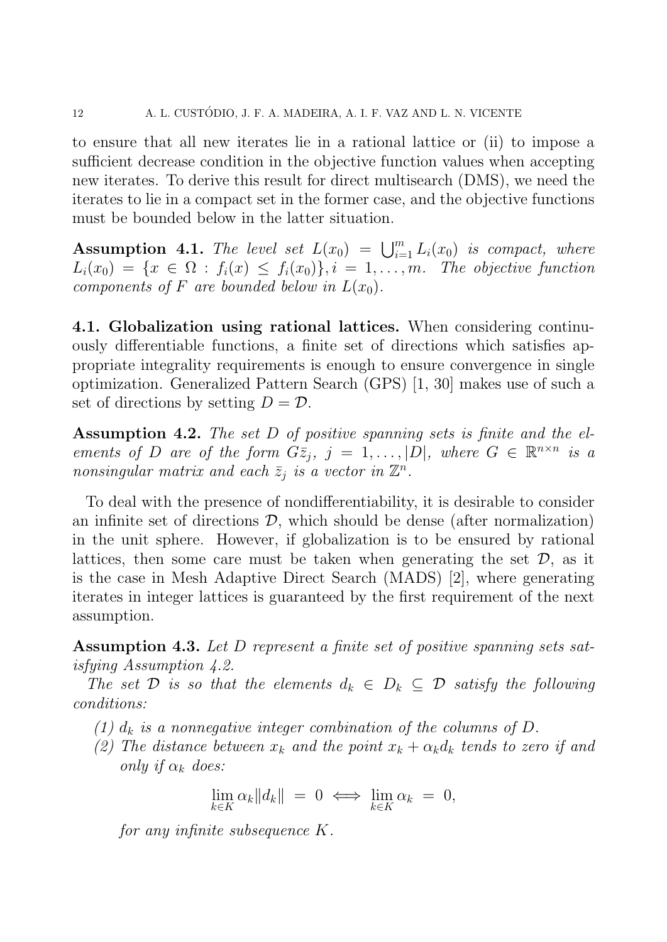to ensure that all new iterates lie in a rational lattice or (ii) to impose a sufficient decrease condition in the objective function values when accepting new iterates. To derive this result for direct multisearch (DMS), we need the iterates to lie in a compact set in the former case, and the objective functions must be bounded below in the latter situation.

**Assumption 4.1.** The level set  $L(x_0) = \bigcup_{i=1}^m L_i(x_0)$  is compact, where  $L_i(x_0) = \{x \in \Omega : f_i(x) \leq f_i(x_0)\}, i = 1, \ldots, m$ . The objective function components of F are bounded below in  $L(x_0)$ .

4.1. Globalization using rational lattices. When considering continuously differentiable functions, a finite set of directions which satisfies appropriate integrality requirements is enough to ensure convergence in single optimization. Generalized Pattern Search (GPS) [1, 30] makes use of such a set of directions by setting  $D = \mathcal{D}$ .

Assumption 4.2. The set D of positive spanning sets is finite and the elements of D are of the form  $G\overline{z}_j$ ,  $j = 1, \ldots, |\overline{D}|$ , where  $G \in \mathbb{R}^{n \times n}$  is a nonsingular matrix and each  $\overline{z}_j$  is a vector in  $\mathbb{Z}^n$ .

To deal with the presence of nondifferentiability, it is desirable to consider an infinite set of directions  $\mathcal{D}$ , which should be dense (after normalization) in the unit sphere. However, if globalization is to be ensured by rational lattices, then some care must be taken when generating the set  $D$ , as it is the case in Mesh Adaptive Direct Search (MADS) [2], where generating iterates in integer lattices is guaranteed by the first requirement of the next assumption.

Assumption 4.3. Let D represent a finite set of positive spanning sets satisfying Assumption 4.2.

The set  $D$  is so that the elements  $d_k \in D_k \subseteq D$  satisfy the following conditions:

- (1)  $d_k$  is a nonnegative integer combination of the columns of D.
- (2) The distance between  $x_k$  and the point  $x_k + \alpha_k d_k$  tends to zero if and only if  $\alpha_k$  does:

$$
\lim_{k \in K} \alpha_k ||d_k|| = 0 \iff \lim_{k \in K} \alpha_k = 0,
$$

for any infinite subsequence K.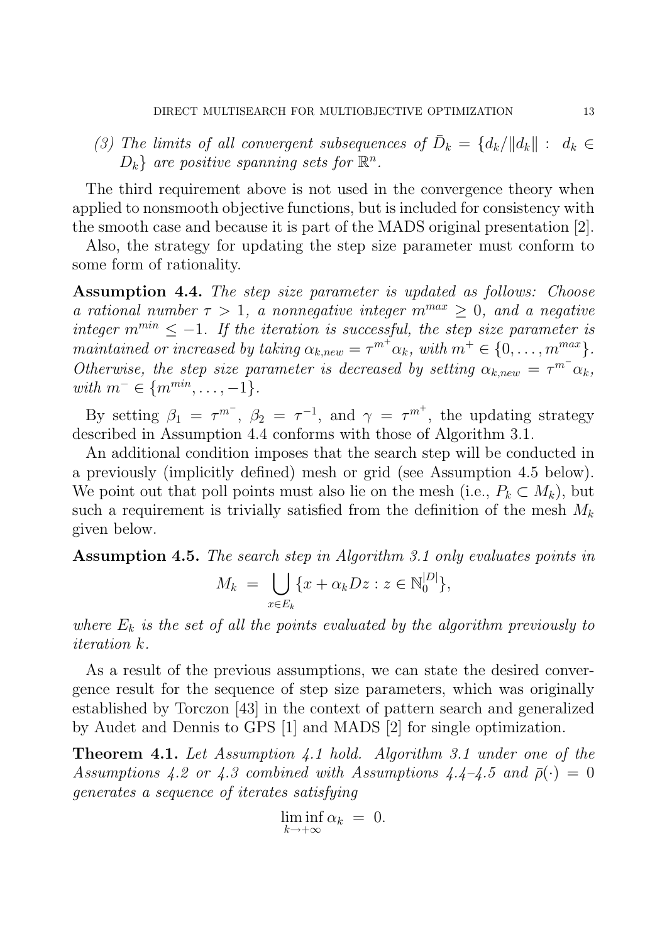(3) The limits of all convergent subsequences of  $\bar{D}_k = \{d_k/||d_k|| : d_k \in$  $D_k$  are positive spanning sets for  $\mathbb{R}^n$ .

The third requirement above is not used in the convergence theory when applied to nonsmooth objective functions, but is included for consistency with the smooth case and because it is part of the MADS original presentation [2].

Also, the strategy for updating the step size parameter must conform to some form of rationality.

Assumption 4.4. The step size parameter is updated as follows: Choose a rational number  $\tau > 1$ , a nonnegative integer  $m^{max} \geq 0$ , and a negative integer  $m^{min} \leq -1$ . If the iteration is successful, the step size parameter is maintained or increased by taking  $\alpha_{k,new} = \tau^{m^+} \alpha_k$ , with  $m^+ \in \{0, \ldots, m^{max}\}.$ Otherwise, the step size parameter is decreased by setting  $\alpha_{k,new} = \tau^{m^-} \alpha_k$ , with  $m^- \in \{m^{min}, \ldots, -1\}.$ 

By setting  $\beta_1 = \tau^{m^-}$ ,  $\beta_2 = \tau^{-1}$ , and  $\gamma = \tau^{m^+}$ , the updating strategy described in Assumption 4.4 conforms with those of Algorithm 3.1.

An additional condition imposes that the search step will be conducted in a previously (implicitly defined) mesh or grid (see Assumption 4.5 below). We point out that poll points must also lie on the mesh (i.e.,  $P_k \subset M_k$ ), but such a requirement is trivially satisfied from the definition of the mesh  $M_k$ given below.

Assumption 4.5. The search step in Algorithm 3.1 only evaluates points in

$$
M_k = \bigcup_{x \in E_k} \{x + \alpha_k D z : z \in \mathbb{N}_0^{|D|}\},\
$$

where  $E_k$  is the set of all the points evaluated by the algorithm previously to iteration k.

As a result of the previous assumptions, we can state the desired convergence result for the sequence of step size parameters, which was originally established by Torczon [43] in the context of pattern search and generalized by Audet and Dennis to GPS [1] and MADS [2] for single optimization.

Theorem 4.1. Let Assumption 4.1 hold. Algorithm 3.1 under one of the Assumptions 4.2 or 4.3 combined with Assumptions 4.4–4.5 and  $\bar{\rho}(\cdot) = 0$ generates a sequence of iterates satisfying

$$
\liminf_{k \to +\infty} \alpha_k = 0.
$$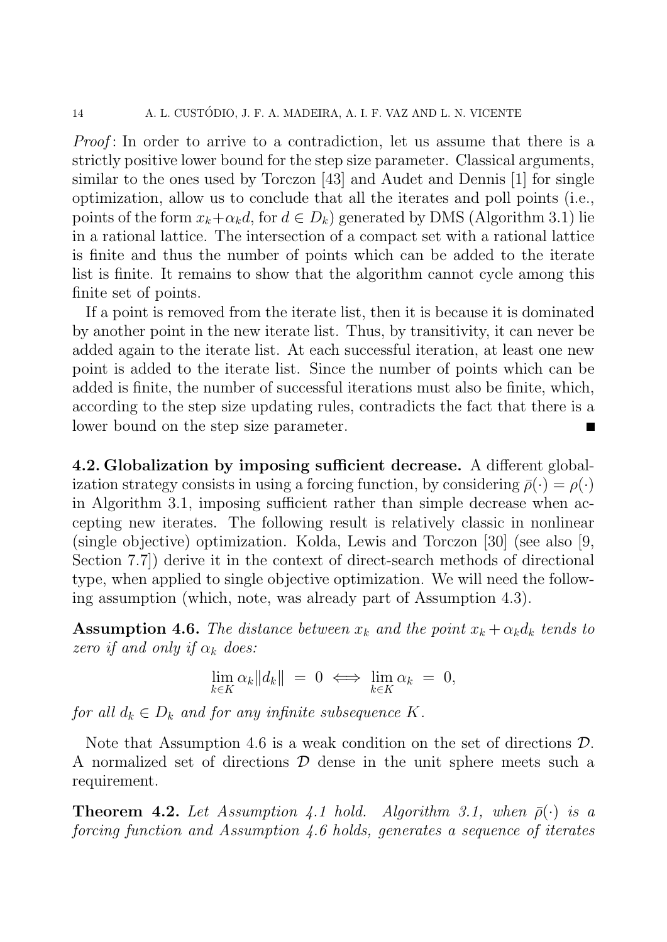Proof: In order to arrive to a contradiction, let us assume that there is a strictly positive lower bound for the step size parameter. Classical arguments, similar to the ones used by Torczon [43] and Audet and Dennis [1] for single optimization, allow us to conclude that all the iterates and poll points (i.e., points of the form  $x_k + \alpha_k d$ , for  $d \in D_k$ ) generated by DMS (Algorithm 3.1) lie in a rational lattice. The intersection of a compact set with a rational lattice is finite and thus the number of points which can be added to the iterate list is finite. It remains to show that the algorithm cannot cycle among this finite set of points.

If a point is removed from the iterate list, then it is because it is dominated by another point in the new iterate list. Thus, by transitivity, it can never be added again to the iterate list. At each successful iteration, at least one new point is added to the iterate list. Since the number of points which can be added is finite, the number of successful iterations must also be finite, which, according to the step size updating rules, contradicts the fact that there is a lower bound on the step size parameter.  $\overline{\phantom{a}}$ 

4.2. Globalization by imposing sufficient decrease. A different globalization strategy consists in using a forcing function, by considering  $\bar{\rho}(\cdot) = \rho(\cdot)$ in Algorithm 3.1, imposing sufficient rather than simple decrease when accepting new iterates. The following result is relatively classic in nonlinear (single objective) optimization. Kolda, Lewis and Torczon [30] (see also [9, Section 7.7]) derive it in the context of direct-search methods of directional type, when applied to single objective optimization. We will need the following assumption (which, note, was already part of Assumption 4.3).

**Assumption 4.6.** The distance between  $x_k$  and the point  $x_k + \alpha_k d_k$  tends to zero if and only if  $\alpha_k$  does:

$$
\lim_{k \in K} \alpha_k \|d_k\| = 0 \iff \lim_{k \in K} \alpha_k = 0,
$$

for all  $d_k \in D_k$  and for any infinite subsequence K.

Note that Assumption 4.6 is a weak condition on the set of directions  $\mathcal{D}$ . A normalized set of directions  $\mathcal D$  dense in the unit sphere meets such a requirement.

**Theorem 4.2.** Let Assumption 4.1 hold. Algorithm 3.1, when  $\bar{\rho}(\cdot)$  is a forcing function and Assumption 4.6 holds, generates a sequence of iterates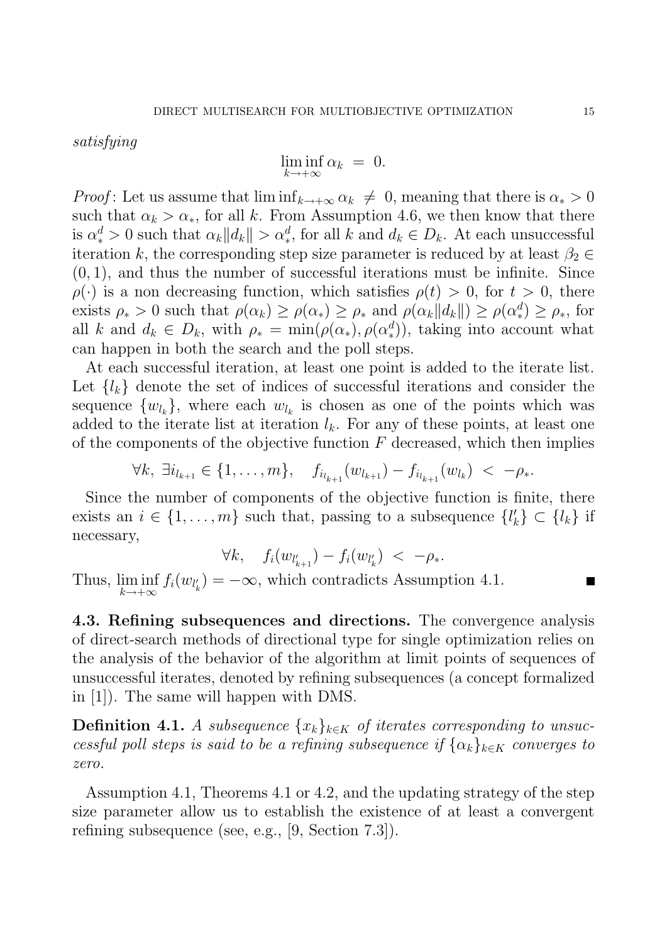satisfying

$$
\liminf_{k \to +\infty} \alpha_k = 0.
$$

*Proof*: Let us assume that  $\liminf_{k\to+\infty} \alpha_k \neq 0$ , meaning that there is  $\alpha_* > 0$ such that  $\alpha_k > \alpha_*$ , for all k. From Assumption 4.6, we then know that there is  $\alpha_*^d > 0$  such that  $\alpha_k ||d_k|| > \alpha_*^d$ , for all k and  $d_k \in D_k$ . At each unsuccessful iteration k, the corresponding step size parameter is reduced by at least  $\beta_2 \in$  $(0, 1)$ , and thus the number of successful iterations must be infinite. Since  $\rho(\cdot)$  is a non decreasing function, which satisfies  $\rho(t) > 0$ , for  $t > 0$ , there exists  $\rho_* > 0$  such that  $\rho(\alpha_k) \geq \rho(\alpha_*) \geq \rho_*$  and  $\rho(\alpha_k || d_k ||) \geq \rho(\alpha_*^d)$  $\binom{d}{*}$  ≥  $\rho_*$ , for all k and  $d_k \in D_k$ , with  $\rho_* = \min(\rho(\alpha_*), \rho(\alpha_*^d))$  $(\binom{d}{k})$ , taking into account what can happen in both the search and the poll steps.

At each successful iteration, at least one point is added to the iterate list. Let  $\{l_k\}$  denote the set of indices of successful iterations and consider the sequence  $\{w_{l_k}\}\$ , where each  $w_{l_k}$  is chosen as one of the points which was added to the iterate list at iteration  $l_k$ . For any of these points, at least one of the components of the objective function  $F$  decreased, which then implies

$$
\forall k, \ \exists i_{l_{k+1}} \in \{1, \ldots, m\}, \quad f_{i_{l_{k+1}}}(w_{l_{k+1}}) - f_{i_{l_{k+1}}}(w_{l_k}) < -\rho_*.
$$

Since the number of components of the objective function is finite, there exists an  $i \in \{1, \ldots, m\}$  such that, passing to a subsequence  $\{l'_i\}$  $\{k\}$   $\subset$   $\{l_k\}$  if necessary,

$$
\forall k, \quad f_i(w_{l'_{k+1}}) - f_i(w_{l'_{k}}) \; < \; -\rho_*.
$$

Thus, lim inf  $\liminf_{k \to +\infty} f_i(w_{l'_k}) = -\infty$ , which contradicts Assumption 4.1.

4.3. Refining subsequences and directions. The convergence analysis of direct-search methods of directional type for single optimization relies on the analysis of the behavior of the algorithm at limit points of sequences of unsuccessful iterates, denoted by refining subsequences (a concept formalized in [1]). The same will happen with DMS.

**Definition 4.1.** A subsequence  $\{x_k\}_{k\in K}$  of iterates corresponding to unsuccessful poll steps is said to be a refining subsequence if  $\{\alpha_k\}_{k\in K}$  converges to zero.

Assumption 4.1, Theorems 4.1 or 4.2, and the updating strategy of the step size parameter allow us to establish the existence of at least a convergent refining subsequence (see, e.g., [9, Section 7.3]).

 $\overline{\phantom{0}}$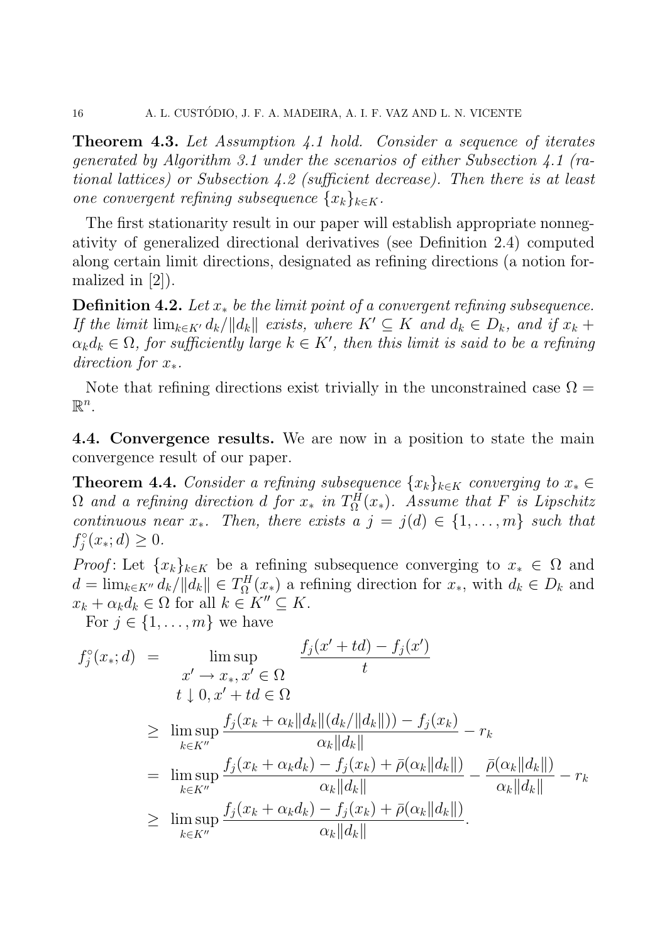Theorem 4.3. Let Assumption 4.1 hold. Consider a sequence of iterates generated by Algorithm 3.1 under the scenarios of either Subsection 4.1 (rational lattices) or Subsection 4.2 (sufficient decrease). Then there is at least one convergent refining subsequence  $\{x_k\}_{k\in K}$ .

The first stationarity result in our paper will establish appropriate nonnegativity of generalized directional derivatives (see Definition 2.4) computed along certain limit directions, designated as refining directions (a notion formalized in [2]).

**Definition 4.2.** Let  $x_*$  be the limit point of a convergent refining subsequence. If the limit  $\lim_{k \in K'} d_k/||d_k||$  exists, where  $K' \subseteq K$  and  $d_k \in D_k$ , and if  $x_k +$  $\alpha_k d_k \in \Omega$ , for sufficiently large  $k \in K'$ , then this limit is said to be a refining direction for  $x_*$ .

Note that refining directions exist trivially in the unconstrained case  $\Omega =$  $\mathbb{R}^n$ .

4.4. Convergence results. We are now in a position to state the main convergence result of our paper.

**Theorem 4.4.** Consider a refining subsequence  $\{x_k\}_{k\in K}$  converging to  $x_* \in$  $\Omega$  and a refining direction d for  $x_*$  in  $T^H_{\Omega}$  $C_{\Omega}^{H}(x_{*})$ . Assume that F is Lipschitz continuous near  $x_*$ . Then, there exists  $a \, j = j(d) \in \{1, \ldots, m\}$  such that  $f_i^{\circ}$  $j^{\circ}(x_{*}; d) \geq 0.$ 

*Proof*: Let  ${x_k}_{k\in K}$  be a refining subsequence converging to  $x_* \in \Omega$  and  $d = \lim_{k \in K''} d_k / ||d_k|| \in T_{\Omega}^H$  $C_{\Omega}^{H}(x_{*})$  a refining direction for  $x_{*}$ , with  $d_{k} \in D_{k}$  and  $x_k + \alpha_k d_k \in \Omega$  for all  $k \in K'' \subseteq K$ .

For  $j \in \{1, \ldots, m\}$  we have

$$
f_j^{\circ}(x_); d) = \limsup_{\begin{subarray}{l} x' \to x_*, x' \in \Omega \\ t \downarrow 0, x' + td \in \Omega \end{subarray}} \frac{f_j(x' + td) - f_j(x')}{t}
$$
  
\n
$$
\geq \limsup_{k \in K''} \frac{f_j(x_k + \alpha_k ||d_k|| (d_k/||d_k||)) - f_j(x_k)}{\alpha_k ||d_k||} - r_k
$$
  
\n
$$
= \limsup_{k \in K''} \frac{f_j(x_k + \alpha_k d_k) - f_j(x_k) + \bar{\rho}(\alpha_k ||d_k||)}{\alpha_k ||d_k||} - \frac{\bar{\rho}(\alpha_k ||d_k||)}{\alpha_k ||d_k||} - r_k
$$
  
\n
$$
\geq \limsup_{k \in K''} \frac{f_j(x_k + \alpha_k d_k) - f_j(x_k) + \bar{\rho}(\alpha_k ||d_k||)}{\alpha_k ||d_k||}.
$$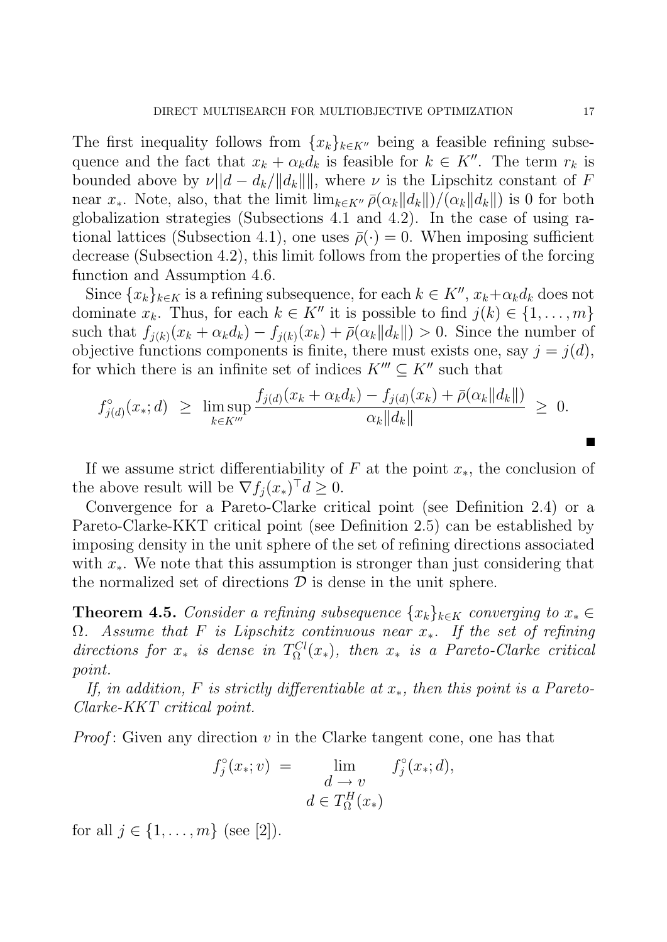The first inequality follows from  $\{x_k\}_{k\in K''}$  being a feasible refining subsequence and the fact that  $x_k + \alpha_k d_k$  is feasible for  $k \in K''$ . The term  $r_k$  is bounded above by  $\nu||d - d_k/||d_k||$ , where  $\nu$  is the Lipschitz constant of F near  $x_*$ . Note, also, that the limit  $\lim_{k \in K''} \bar{\rho}(\alpha_k || d_k ||) / (\alpha_k || d_k ||)$  is 0 for both globalization strategies (Subsections 4.1 and 4.2). In the case of using rational lattices (Subsection 4.1), one uses  $\bar{\rho}(\cdot) = 0$ . When imposing sufficient decrease (Subsection 4.2), this limit follows from the properties of the forcing function and Assumption 4.6.

Since  ${x_k}_{k \in K}$  is a refining subsequence, for each  $k \in K''$ ,  $x_k + \alpha_k d_k$  does not dominate  $x_k$ . Thus, for each  $k \in K''$  it is possible to find  $j(k) \in \{1, \ldots, m\}$ such that  $f_{j(k)}(x_k + \alpha_k d_k) - f_{j(k)}(x_k) + \bar{\rho}(\alpha_k || d_k ||) > 0$ . Since the number of objective functions components is finite, there must exists one, say  $j = j(d)$ , for which there is an infinite set of indices  $K''' \subseteq K''$  such that

$$
f_{j(d)}^{\circ}(x_{*};d) \geq \limsup_{k \in K'''} \frac{f_{j(d)}(x_{k} + \alpha_{k}d_{k}) - f_{j(d)}(x_{k}) + \bar{\rho}(\alpha_{k}||d_{k}||)}{\alpha_{k}||d_{k}||} \geq 0.
$$

If we assume strict differentiability of F at the point  $x<sub>*</sub>$ , the conclusion of the above result will be  $\nabla f_j(x_*)^\top d \geq 0$ .

Convergence for a Pareto-Clarke critical point (see Definition 2.4) or a Pareto-Clarke-KKT critical point (see Definition 2.5) can be established by imposing density in the unit sphere of the set of refining directions associated with  $x_{*}$ . We note that this assumption is stronger than just considering that the normalized set of directions  $\mathcal D$  is dense in the unit sphere.

**Theorem 4.5.** Consider a refining subsequence  $\{x_k\}_{k\in K}$  converging to  $x_* \in$  $\Omega$ . Assume that F is Lipschitz continuous near  $x_*$ . If the set of refining directions for  $x_*$  is dense in  $T_{\Omega}^{Cl}$  $C_0^{Cl}(x_*)$ , then  $x_*$  is a Pareto-Clarke critical point.

If, in addition, F is strictly differentiable at  $x_*$ , then this point is a Pareto-Clarke-KKT critical point.

*Proof*: Given any direction  $v$  in the Clarke tangent cone, one has that

$$
f_j^{\circ}(x_*) = \lim_{\substack{d \to v \\ d \in T_{\Omega}^H(x_*)}} f_j^{\circ}(x_*)
$$

for all  $j \in \{1, ..., m\}$  (see [2]).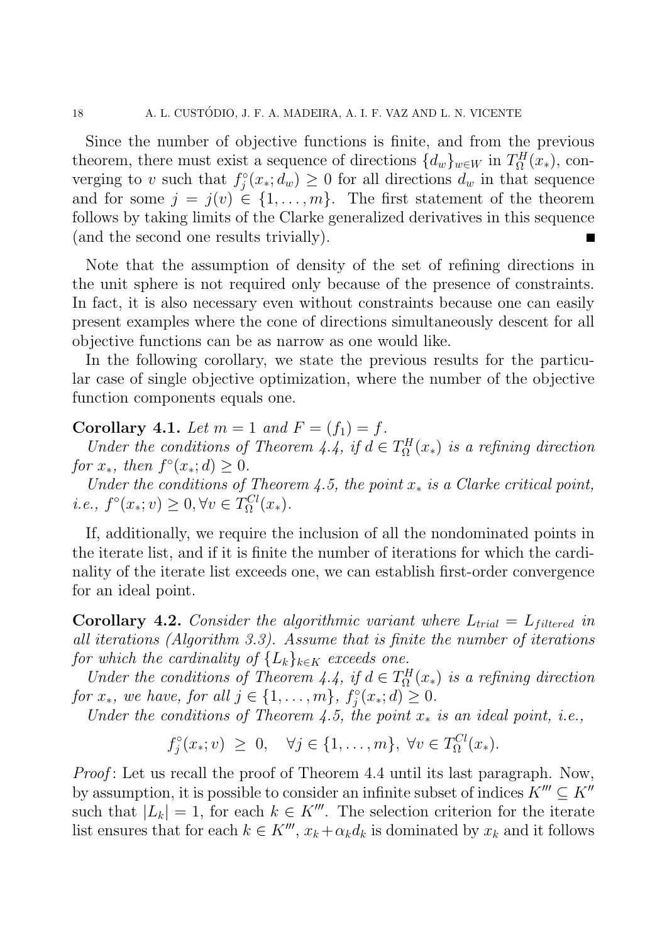Since the number of objective functions is finite, and from the previous theorem, there must exist a sequence of directions  $\{d_w\}_{w\in W}$  in  $T^H_{\Omega}$  $\Omega^H(x_*), \text{ con-}$ verging to v such that  $f_i^{\circ}$  $j^{\circ}(x_{*}; d_{w}) \geq 0$  for all directions  $d_{w}$  in that sequence and for some  $j = j(v) \in \{1, ..., m\}$ . The first statement of the theorem follows by taking limits of the Clarke generalized derivatives in this sequence (and the second one results trivially).

Note that the assumption of density of the set of refining directions in the unit sphere is not required only because of the presence of constraints. In fact, it is also necessary even without constraints because one can easily present examples where the cone of directions simultaneously descent for all objective functions can be as narrow as one would like.

In the following corollary, we state the previous results for the particular case of single objective optimization, where the number of the objective function components equals one.

Corollary 4.1. Let  $m = 1$  and  $F = (f_1) = f$ .

Under the conditions of Theorem 4.4, if  $d \in T_{\Omega}^{H}$  $C_{\Omega}^{H}(x_{*})$  is a refining direction for  $x_*$ , then  $f^{\circ}(x_*; d) \geq 0$ .

Under the conditions of Theorem 4.5, the point  $x_*$  is a Clarke critical point, *i.e.*,  $f^{\circ}(x_*)\geq 0, \forall v \in T_{\Omega}^{Cl}$  $\Omega^{Cl}(x_*)$ .

If, additionally, we require the inclusion of all the nondominated points in the iterate list, and if it is finite the number of iterations for which the cardinality of the iterate list exceeds one, we can establish first-order convergence for an ideal point.

Corollary 4.2. Consider the algorithmic variant where  $L_{trial} = L_{filtered}$  in all iterations (Algorithm 3.3). Assume that is finite the number of iterations for which the cardinality of  ${L_k}_{k \in K}$  exceeds one.

Under the conditions of Theorem 4.4, if  $d \in T_{\Omega}^{H}$  $C_{\Omega}^{H}(x_{*})$  is a refining direction for  $x_*$ , we have, for all  $j \in \{1, \ldots, m\}$ ,  $f_j^{\circ}$ ;° $(x_*, d) \ge 0$ .

Under the conditions of Theorem 4.5, the point  $x_*$  is an ideal point, i.e.,

$$
f_j^{\circ}(x_*; v) \geq 0, \quad \forall j \in \{1, \dots, m\}, \ \forall v \in T_{\Omega}^{Cl}(x_*).
$$

Proof: Let us recall the proof of Theorem 4.4 until its last paragraph. Now, by assumption, it is possible to consider an infinite subset of indices  $K^{\prime\prime\prime} \subseteq K^{\prime\prime}$ such that  $|L_k| = 1$ , for each  $k \in K'''$ . The selection criterion for the iterate list ensures that for each  $k \in K'''$ ,  $x_k + \alpha_k d_k$  is dominated by  $x_k$  and it follows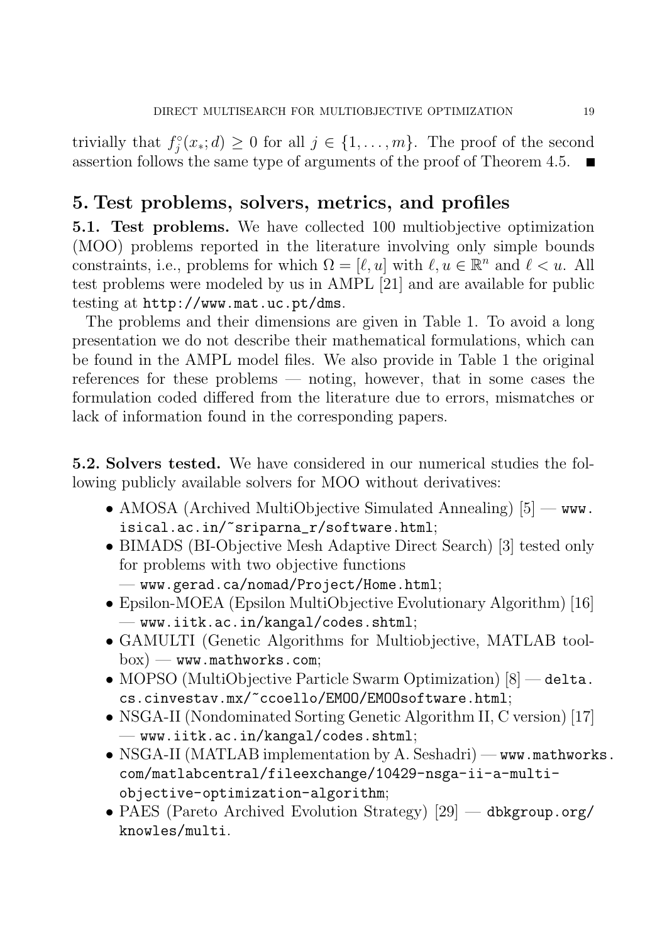trivially that  $f_i^{\circ}$  $j^{\circ}(x_{*};d) \geq 0$  for all  $j \in \{1,\ldots,m\}$ . The proof of the second assertion follows the same type of arguments of the proof of Theorem 4.5.

# 5. Test problems, solvers, metrics, and profiles

5.1. Test problems. We have collected 100 multiobjective optimization (MOO) problems reported in the literature involving only simple bounds constraints, i.e., problems for which  $\Omega = [\ell, u]$  with  $\ell, u \in \mathbb{R}^n$  and  $\ell < u$ . All test problems were modeled by us in AMPL [21] and are available for public testing at http://www.mat.uc.pt/dms.

The problems and their dimensions are given in Table 1. To avoid a long presentation we do not describe their mathematical formulations, which can be found in the AMPL model files. We also provide in Table 1 the original references for these problems — noting, however, that in some cases the formulation coded differed from the literature due to errors, mismatches or lack of information found in the corresponding papers.

5.2. Solvers tested. We have considered in our numerical studies the following publicly available solvers for MOO without derivatives:

- AMOSA (Archived MultiObjective Simulated Annealing) [5] www. isical.ac.in/~sriparna\_r/software.html;
- BIMADS (BI-Objective Mesh Adaptive Direct Search) [3] tested only for problems with two objective functions — www.gerad.ca/nomad/Project/Home.html;
- Epsilon-MOEA (Epsilon MultiObjective Evolutionary Algorithm) [16] — www.iitk.ac.in/kangal/codes.shtml;
- GAMULTI (Genetic Algorithms for Multiobjective, MATLAB tool $box)$  — www.mathworks.com;
- MOPSO (MultiObjective Particle Swarm Optimization) [8] delta. cs.cinvestav.mx/~ccoello/EMOO/EMOOsoftware.html;
- NSGA-II (Nondominated Sorting Genetic Algorithm II, C version) [17] — www.iitk.ac.in/kangal/codes.shtml;
- NSGA-II (MATLAB implementation by A. Seshadri) www.mathworks. com/matlabcentral/fileexchange/10429-nsga-ii-a-multiobjective-optimization-algorithm;
- PAES (Pareto Archived Evolution Strategy) [29] dbkgroup.org/ knowles/multi.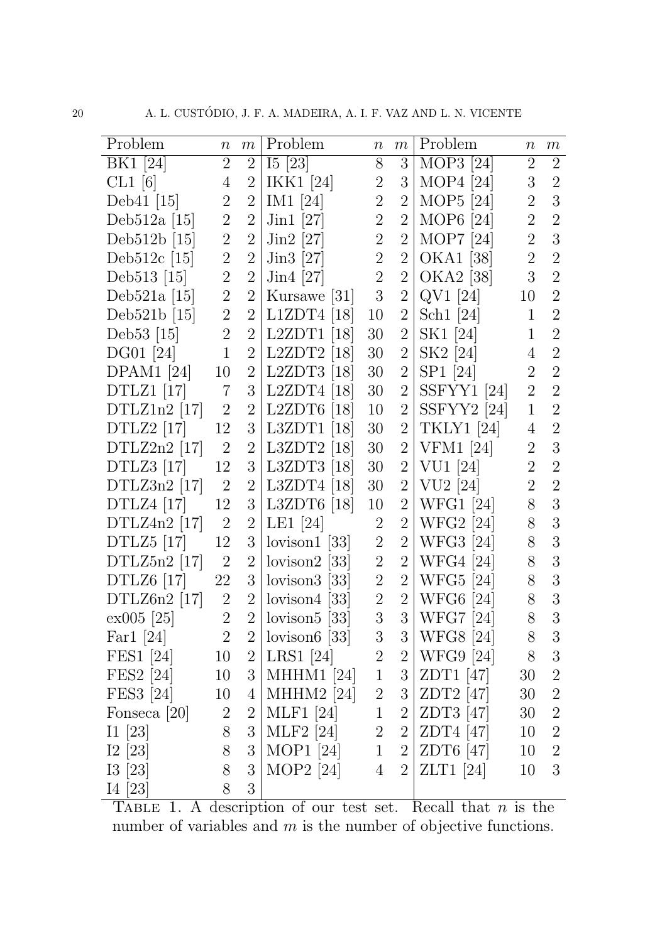| Problem                      | $\, n$         | $\,m$          | Problem             | $\, n$         | m <sub>l</sub> | Problem          | $\, n$         | $\,m$          |
|------------------------------|----------------|----------------|---------------------|----------------|----------------|------------------|----------------|----------------|
| $\overline{\text{BK1}}$ [24] | $\overline{2}$ | $\overline{2}$ | $15 \; [23]$        | 8              | 3              | MOP3 [24]        | $\overline{2}$ | $\overline{2}$ |
| $CL1$ [6]                    | $\overline{4}$ | $\overline{2}$ | IKK1 [24]           | $\overline{2}$ | 3              | MOP4 [24]        | $\mathfrak{Z}$ | $\overline{2}$ |
| Deb $41$ [15]                | $\overline{2}$ | $\overline{2}$ | IM1 [24]            | $\overline{2}$ | $\overline{2}$ | MOP5 $[24]$      | $\overline{2}$ | 3              |
| Deb $512a$ [15]              | $\overline{2}$ | $\overline{2}$ | $Jin1$ [27]         | $\overline{2}$ | $\overline{2}$ | MOP6 [24]        | $\overline{2}$ | $\sqrt{2}$     |
| Deb512b [15]                 | $\overline{2}$ | $\overline{2}$ | $\text{Jin2}$ [27]  | $\overline{2}$ | $\overline{2}$ | MOP7 [24]        | $\overline{2}$ | 3              |
| Deb $512c$ [15]              | $\overline{2}$ | $\overline{2}$ | $\text{Jin}3$ [27]  | $\overline{2}$ | $\overline{2}$ | OKA1 [38]        | $\overline{2}$ | $\overline{2}$ |
| Deb513 [15]                  | $\sqrt{2}$     | $\overline{2}$ | Jin4 $[27]$         | $\overline{2}$ | $\overline{2}$ | OKA2 [38]        | 3              | $\sqrt{2}$     |
| Deb $521a$ [15]              | $\overline{2}$ | $\overline{2}$ | Kursawe [31]        | 3              | $\overline{2}$ | $QV1$ [24]       | 10             | $\overline{2}$ |
| Deb521b [15]                 | $\overline{2}$ | $\overline{2}$ | L1ZDT4 $[18]$       | 10             | $\overline{2}$ | Sch $1\ [24]$    | $\mathbf{1}$   | $\overline{2}$ |
| Deb53 [15]                   | $\overline{2}$ | $\overline{2}$ | L2ZDT1 $[18]$       | 30             | $\overline{2}$ | SK1 [24]         | $\mathbf{1}$   | $\overline{2}$ |
| DG01 [24]                    | $\mathbf{1}$   | $\overline{2}$ | L2ZDT2 $[18]$       | 30             | $\overline{2}$ | SK2 [24]         | $\overline{4}$ | $\overline{2}$ |
| $DPAM1$ [24]                 | 10             | $\overline{2}$ | L2ZDT3 $[18]$       | 30             | $\overline{2}$ | SP1 [24]         | $\overline{2}$ | $\overline{2}$ |
| DTLZ1 $[17]$                 | $\overline{7}$ | 3              | L2ZDT4 $[18]$       | 30             | $\overline{2}$ | SSFYY1 $[24]$    | $\overline{2}$ | $\overline{2}$ |
| DTLZ1n2 $[17]$               | $\overline{2}$ | $\overline{2}$ | L2ZDT6 $[18]$       | 10             | $\overline{2}$ | SSFYY2 $[24]$    | $\mathbf{1}$   | $\overline{2}$ |
| DTLZ2 $[17]$                 | 12             | 3              | L3ZDT1 [18]         | 30             | $\overline{2}$ | TKLY1 [24]       | $\overline{4}$ | $\overline{2}$ |
| $DTLZ2n2$ [17]               | $\sqrt{2}$     | $\overline{2}$ | L3ZDT2 $[18]$       | 30             | $\overline{2}$ | VFM1 [24]        | $\overline{2}$ | 3              |
| DTLZ3 [17]                   | 12             | 3              | L3ZDT3 $[18]$       | 30             | $\overline{2}$ | VU1 [24]         | $\overline{2}$ | $\overline{2}$ |
| DTLZ3n2 $[17]$               | $\overline{2}$ | $\overline{2}$ | L3ZDT4 $[18]$       | 30             | $\overline{2}$ | VU2 [24]         | $\overline{2}$ | $\overline{2}$ |
| DTLZ4 $[17]$                 | 12             | 3              | L3ZDT6 $[18]$       | 10             | $\overline{2}$ | WFG1 [24]        | 8              | 3              |
| $DTLZ4n2$ [17]               | $\overline{2}$ | $\overline{2}$ | LE1 $[24]$          | $\overline{2}$ | $\overline{2}$ | WFG2 [24]        | 8              | 3              |
| DTLZ5 [17]                   | 12             | 3              | lovison $1 \, [33]$ | $\sqrt{2}$     | $\overline{2}$ | WFG3 [24]        | 8              | 3              |
| $DTLZ5n2$ [17]               | $\overline{2}$ | $\overline{2}$ | lovison $2 \; [33]$ | $\overline{2}$ | $\overline{2}$ | WFG4 [24]        | 8              | 3              |
| DTLZ6 [17]                   | 22             | 3              | lovison $3 \; [33]$ | $\overline{2}$ | $\overline{2}$ | WFG5 [24]        | 8              | 3              |
| $DTLZ6n2$ [17]               | $\overline{2}$ | $\overline{2}$ | lovison $4 \, [33]$ | $\overline{2}$ | $\overline{2}$ | WFG6 [24]        | 8              | $\mathfrak{Z}$ |
| $ex005$ [25]                 | $\sqrt{2}$     | $\overline{2}$ | lovison $5 \; [33]$ | $\overline{3}$ | 3              | <b>WFG7</b> [24] | $8\,$          | 3              |
| Far1 [24]                    | $\sqrt{2}$     | 2 <sup>1</sup> | lovison $6 \; [33]$ | $\overline{3}$ | $3\vert$       | WFG8 [24]        | 8              | $\overline{3}$ |
| FES1 [24]                    | 10             |                | 2   LRS1 [24]       | $\overline{2}$ |                | 2 WFG9 24        | 8              | 3              |
| $FES2$ [24]                  | 10             |                | $3$   MHHM1 [24]    | $\mathbf{1}$   |                | 3   ZDT1 [47]    | 30             | $\overline{2}$ |
| FES3 [24]                    | 10             |                | $4$   MHHM2 [24]    | $\overline{2}$ |                | 3   ZDT2 [47]    | 30             | $\overline{2}$ |
| Fonseca $[20]$               | $\overline{2}$ |                | $2$   MLF1 [24]     | $\mathbf{1}$   |                | 2 ZDT3 47        | 30             | $\overline{2}$ |
| $11 \; [23]$                 | 8              |                | $3$   MLF2 [24]     | $\overline{2}$ |                | 2 ZDT4 47        | 10             | $\overline{2}$ |
| $12 \; [23]$                 | 8              | 3              | MOP1 [24]           | $\mathbf{1}$   | $\overline{2}$ | ZDT6 $[47]$      | 10             | $\overline{2}$ |
| $13 \; [23]$                 | 8              | 3              | MOP2 $[24]$         | $\overline{4}$ | 2 <sup>1</sup> | $ZLT1$ [24]      | 10             | 3              |
| $14 \; [23]$                 | 8              | $\mathbf{3}$   |                     |                |                |                  |                |                |

TABLE 1. A description of our test set. Recall that  $n$  is the number of variables and  $m$  is the number of objective functions.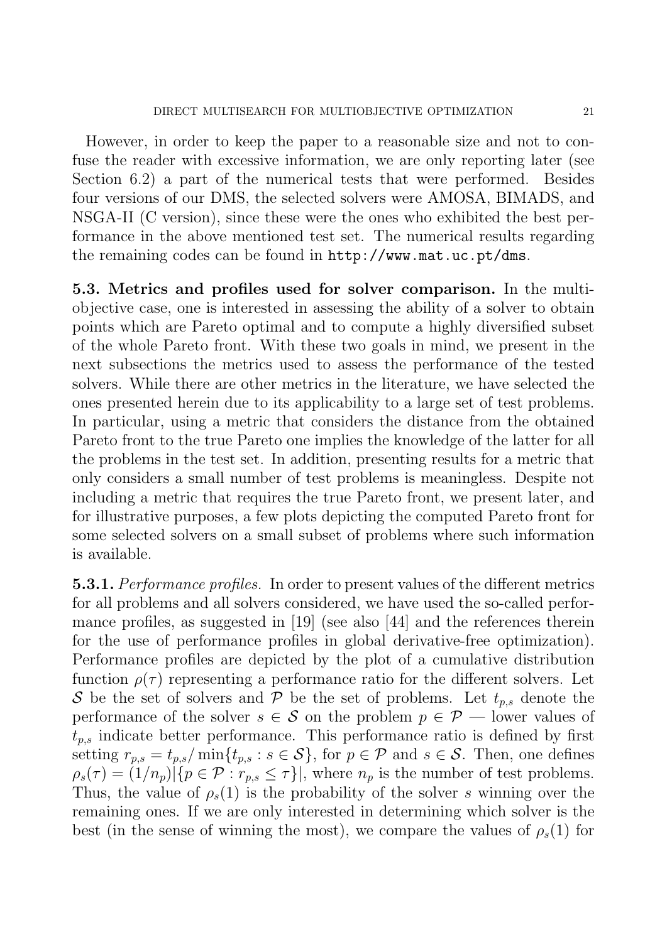However, in order to keep the paper to a reasonable size and not to confuse the reader with excessive information, we are only reporting later (see Section 6.2) a part of the numerical tests that were performed. Besides four versions of our DMS, the selected solvers were AMOSA, BIMADS, and NSGA-II (C version), since these were the ones who exhibited the best performance in the above mentioned test set. The numerical results regarding the remaining codes can be found in http://www.mat.uc.pt/dms.

5.3. Metrics and profiles used for solver comparison. In the multiobjective case, one is interested in assessing the ability of a solver to obtain points which are Pareto optimal and to compute a highly diversified subset of the whole Pareto front. With these two goals in mind, we present in the next subsections the metrics used to assess the performance of the tested solvers. While there are other metrics in the literature, we have selected the ones presented herein due to its applicability to a large set of test problems. In particular, using a metric that considers the distance from the obtained Pareto front to the true Pareto one implies the knowledge of the latter for all the problems in the test set. In addition, presenting results for a metric that only considers a small number of test problems is meaningless. Despite not including a metric that requires the true Pareto front, we present later, and for illustrative purposes, a few plots depicting the computed Pareto front for some selected solvers on a small subset of problems where such information is available.

**5.3.1.** Performance profiles. In order to present values of the different metrics for all problems and all solvers considered, we have used the so-called performance profiles, as suggested in [19] (see also [44] and the references therein for the use of performance profiles in global derivative-free optimization). Performance profiles are depicted by the plot of a cumulative distribution function  $\rho(\tau)$  representing a performance ratio for the different solvers. Let S be the set of solvers and P be the set of problems. Let  $t_{p,s}$  denote the performance of the solver  $s \in \mathcal{S}$  on the problem  $p \in \mathcal{P}$  — lower values of  $t_{p,s}$  indicate better performance. This performance ratio is defined by first setting  $r_{p,s} = t_{p,s}/\min\{t_{p,s} : s \in \mathcal{S}\}\,$  for  $p \in \mathcal{P}$  and  $s \in \mathcal{S}$ . Then, one defines  $\rho_s(\tau) = (1/n_p)|\{p \in \mathcal{P} : r_{p,s} \leq \tau\}|$ , where  $n_p$  is the number of test problems. Thus, the value of  $\rho_s(1)$  is the probability of the solver s winning over the remaining ones. If we are only interested in determining which solver is the best (in the sense of winning the most), we compare the values of  $\rho_s(1)$  for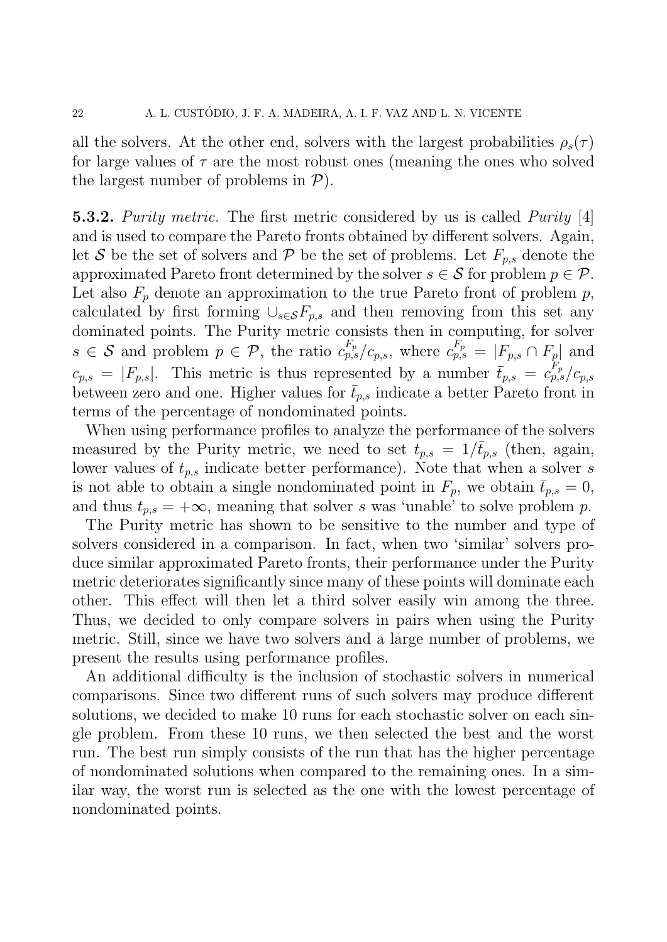all the solvers. At the other end, solvers with the largest probabilities  $\rho_s(\tau)$ for large values of  $\tau$  are the most robust ones (meaning the ones who solved the largest number of problems in  $P$ ).

**5.3.2.** Purity metric. The first metric considered by us is called Purity [4] and is used to compare the Pareto fronts obtained by different solvers. Again, let S be the set of solvers and P be the set of problems. Let  $F_{p,s}$  denote the approximated Pareto front determined by the solver  $s \in \mathcal{S}$  for problem  $p \in \mathcal{P}$ . Let also  $F_p$  denote an approximation to the true Pareto front of problem  $p$ , calculated by first forming  $\bigcup_{s\in\mathcal{S}}F_{p,s}$  and then removing from this set any dominated points. The Purity metric consists then in computing, for solver  $s \in \mathcal{S}$  and problem  $p \in \mathcal{P}$ , the ratio  $c_{p,s}^{F_p}/c_{p,s}$ , where  $c_{p,s}^{F_p} = |F_{p,s} \cap F_p|$  and  $c_{p,s} = |F_{p,s}|$ . This metric is thus represented by a number  $\bar{t}_{p,s} = c_{p,s}^{F_p}/c_{p,s}$ between zero and one. Higher values for  $\bar{t}_{p,s}$  indicate a better Pareto front in terms of the percentage of nondominated points.

When using performance profiles to analyze the performance of the solvers measured by the Purity metric, we need to set  $t_{p,s} = 1/\bar{t}_{p,s}$  (then, again, lower values of  $t_{p,s}$  indicate better performance). Note that when a solver s is not able to obtain a single nondominated point in  $F_p$ , we obtain  $\bar{t}_{p,s} = 0$ , and thus  $t_{p,s} = +\infty$ , meaning that solver s was 'unable' to solve problem p.

The Purity metric has shown to be sensitive to the number and type of solvers considered in a comparison. In fact, when two 'similar' solvers produce similar approximated Pareto fronts, their performance under the Purity metric deteriorates significantly since many of these points will dominate each other. This effect will then let a third solver easily win among the three. Thus, we decided to only compare solvers in pairs when using the Purity metric. Still, since we have two solvers and a large number of problems, we present the results using performance profiles.

An additional difficulty is the inclusion of stochastic solvers in numerical comparisons. Since two different runs of such solvers may produce different solutions, we decided to make 10 runs for each stochastic solver on each single problem. From these 10 runs, we then selected the best and the worst run. The best run simply consists of the run that has the higher percentage of nondominated solutions when compared to the remaining ones. In a similar way, the worst run is selected as the one with the lowest percentage of nondominated points.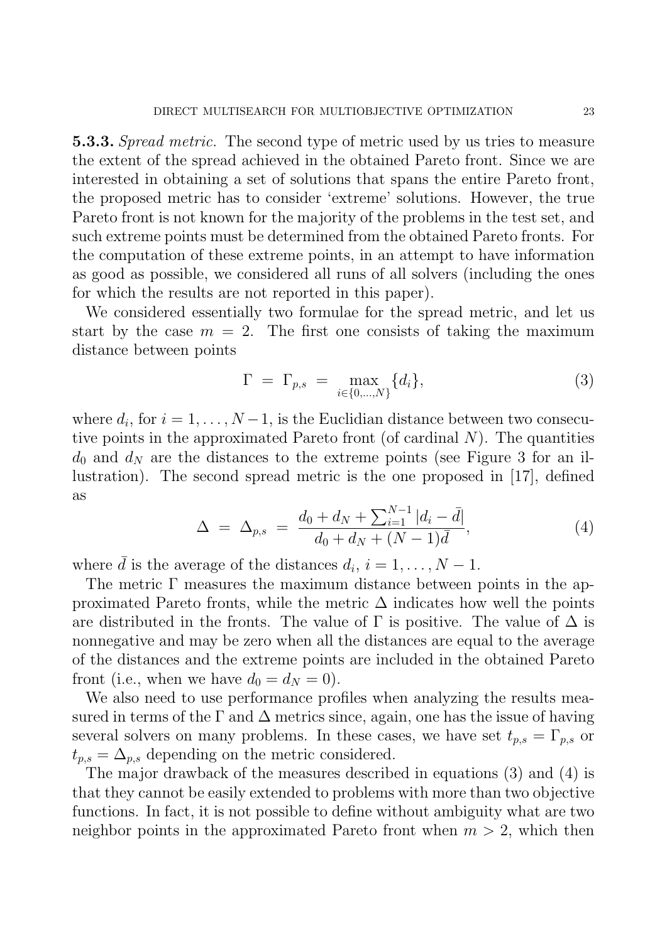**5.3.3.** Spread metric. The second type of metric used by us tries to measure the extent of the spread achieved in the obtained Pareto front. Since we are interested in obtaining a set of solutions that spans the entire Pareto front, the proposed metric has to consider 'extreme' solutions. However, the true Pareto front is not known for the majority of the problems in the test set, and such extreme points must be determined from the obtained Pareto fronts. For the computation of these extreme points, in an attempt to have information as good as possible, we considered all runs of all solvers (including the ones for which the results are not reported in this paper).

We considered essentially two formulae for the spread metric, and let us start by the case  $m = 2$ . The first one consists of taking the maximum distance between points

$$
\Gamma = \Gamma_{p,s} = \max_{i \in \{0,\ldots,N\}} \{d_i\},\tag{3}
$$

where  $d_i$ , for  $i = 1, ..., N-1$ , is the Euclidian distance between two consecutive points in the approximated Pareto front (of cardinal  $N$ ). The quantities  $d_0$  and  $d_N$  are the distances to the extreme points (see Figure 3 for an illustration). The second spread metric is the one proposed in [17], defined as

$$
\Delta = \Delta_{p,s} = \frac{d_0 + d_N + \sum_{i=1}^{N-1} |d_i - \bar{d}|}{d_0 + d_N + (N-1)\bar{d}},\tag{4}
$$

where  $\bar{d}$  is the average of the distances  $d_i$ ,  $i = 1, \ldots, N - 1$ .

The metric Γ measures the maximum distance between points in the approximated Pareto fronts, while the metric  $\Delta$  indicates how well the points are distributed in the fronts. The value of  $\Gamma$  is positive. The value of  $\Delta$  is nonnegative and may be zero when all the distances are equal to the average of the distances and the extreme points are included in the obtained Pareto front (i.e., when we have  $d_0 = d_N = 0$ ).

We also need to use performance profiles when analyzing the results measured in terms of the  $\Gamma$  and  $\Delta$  metrics since, again, one has the issue of having several solvers on many problems. In these cases, we have set  $t_{p,s} = \Gamma_{p,s}$  or  $t_{p,s} = \Delta_{p,s}$  depending on the metric considered.

The major drawback of the measures described in equations (3) and (4) is that they cannot be easily extended to problems with more than two objective functions. In fact, it is not possible to define without ambiguity what are two neighbor points in the approximated Pareto front when  $m > 2$ , which then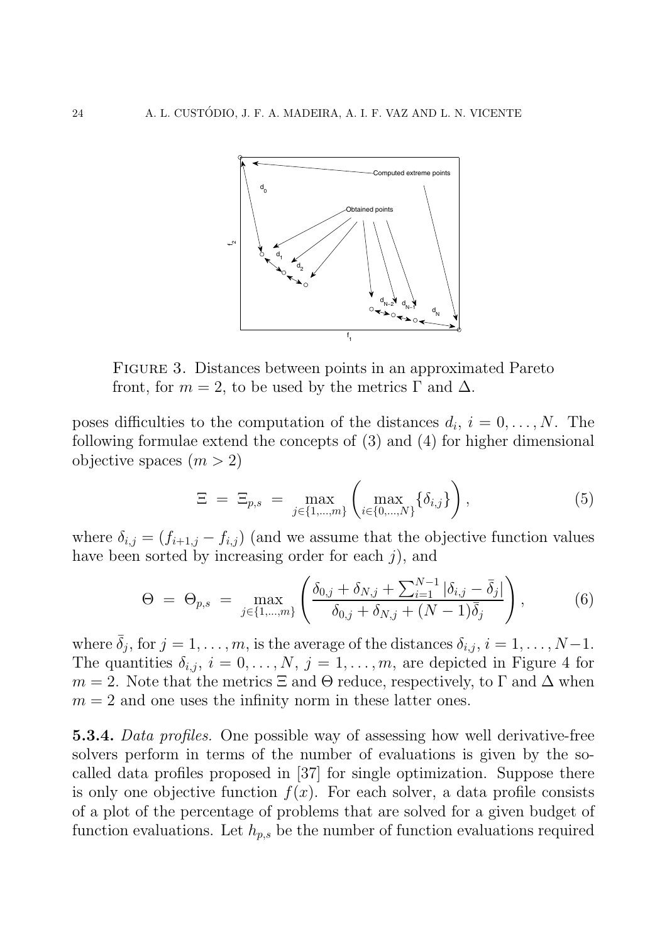

Figure 3. Distances between points in an approximated Pareto front, for  $m = 2$ , to be used by the metrics  $\Gamma$  and  $\Delta$ .

poses difficulties to the computation of the distances  $d_i$ ,  $i = 0, \ldots, N$ . The following formulae extend the concepts of (3) and (4) for higher dimensional objective spaces  $(m > 2)$ 

$$
\Xi = \Xi_{p,s} = \max_{j \in \{1,\dots,m\}} \left( \max_{i \in \{0,\dots,N\}} \{ \delta_{i,j} \} \right), \tag{5}
$$

where  $\delta_{i,j} = (f_{i+1,j} - f_{i,j})$  (and we assume that the objective function values have been sorted by increasing order for each  $j$ , and

$$
\Theta = \Theta_{p,s} = \max_{j \in \{1, \dots, m\}} \left( \frac{\delta_{0,j} + \delta_{N,j} + \sum_{i=1}^{N-1} |\delta_{i,j} - \bar{\delta}_j|}{\delta_{0,j} + \delta_{N,j} + (N-1)\bar{\delta}_j} \right),
$$
(6)

where  $\bar{\delta}_j$ , for  $j = 1, \ldots, m$ , is the average of the distances  $\delta_{i,j}, i = 1, \ldots, N-1$ . The quantities  $\delta_{i,j}, i = 0, \ldots, N, j = 1, \ldots, m$ , are depicted in Figure 4 for  $m = 2$ . Note that the metrics  $\Xi$  and  $\Theta$  reduce, respectively, to  $\Gamma$  and  $\Delta$  when  $m = 2$  and one uses the infinity norm in these latter ones.

**5.3.4.** Data profiles. One possible way of assessing how well derivative-free solvers perform in terms of the number of evaluations is given by the socalled data profiles proposed in [37] for single optimization. Suppose there is only one objective function  $f(x)$ . For each solver, a data profile consists of a plot of the percentage of problems that are solved for a given budget of function evaluations. Let  $h_{p,s}$  be the number of function evaluations required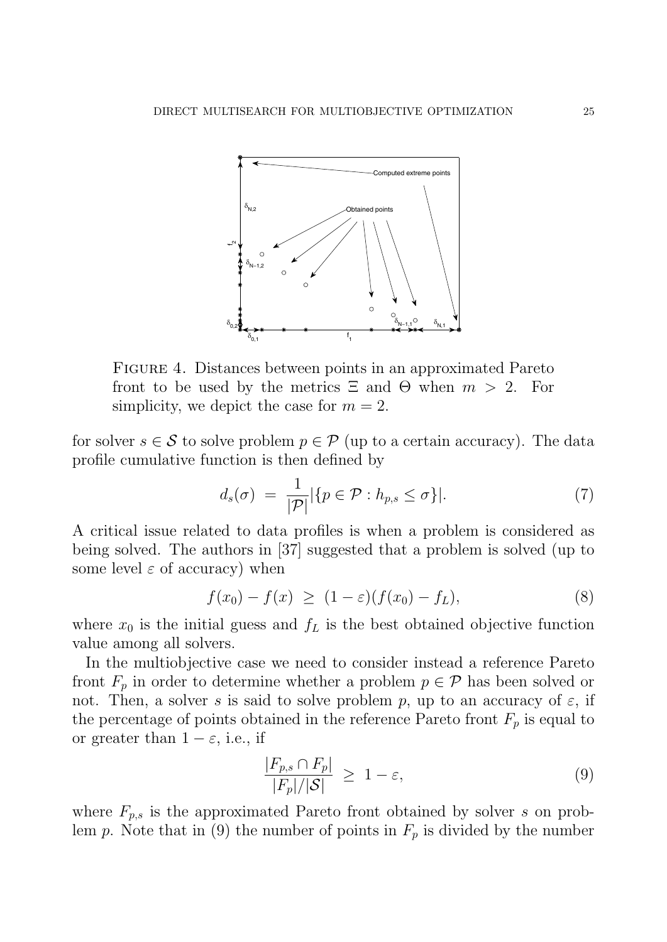

Figure 4. Distances between points in an approximated Pareto front to be used by the metrics  $\Xi$  and  $\Theta$  when  $m > 2$ . For simplicity, we depict the case for  $m = 2$ .

for solver  $s \in \mathcal{S}$  to solve problem  $p \in \mathcal{P}$  (up to a certain accuracy). The data profile cumulative function is then defined by

$$
d_s(\sigma) = \frac{1}{|\mathcal{P}|} |\{p \in \mathcal{P} : h_{p,s} \le \sigma\}|. \tag{7}
$$

A critical issue related to data profiles is when a problem is considered as being solved. The authors in [37] suggested that a problem is solved (up to some level  $\varepsilon$  of accuracy) when

$$
f(x_0) - f(x) \ge (1 - \varepsilon)(f(x_0) - f_L), \tag{8}
$$

where  $x_0$  is the initial guess and  $f<sub>L</sub>$  is the best obtained objective function value among all solvers.

In the multiobjective case we need to consider instead a reference Pareto front  $F_p$  in order to determine whether a problem  $p \in \mathcal{P}$  has been solved or not. Then, a solver s is said to solve problem p, up to an accuracy of  $\varepsilon$ , if the percentage of points obtained in the reference Pareto front  $F_p$  is equal to or greater than  $1 - \varepsilon$ , i.e., if

$$
\frac{|F_{p,s} \cap F_p|}{|F_p|/|\mathcal{S}|} \ge 1 - \varepsilon,\tag{9}
$$

where  $F_{p,s}$  is the approximated Pareto front obtained by solver s on problem p. Note that in (9) the number of points in  $F_p$  is divided by the number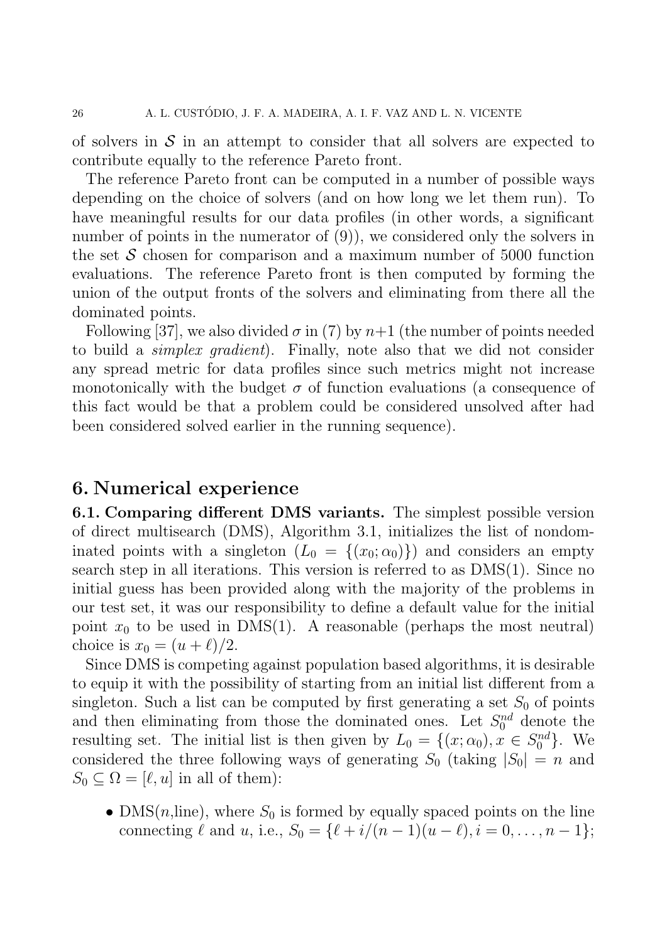of solvers in  $\mathcal S$  in an attempt to consider that all solvers are expected to contribute equally to the reference Pareto front.

The reference Pareto front can be computed in a number of possible ways depending on the choice of solvers (and on how long we let them run). To have meaningful results for our data profiles (in other words, a significant number of points in the numerator of  $(9)$ , we considered only the solvers in the set  $S$  chosen for comparison and a maximum number of 5000 function evaluations. The reference Pareto front is then computed by forming the union of the output fronts of the solvers and eliminating from there all the dominated points.

Following [37], we also divided  $\sigma$  in (7) by  $n+1$  (the number of points needed to build a simplex gradient). Finally, note also that we did not consider any spread metric for data profiles since such metrics might not increase monotonically with the budget  $\sigma$  of function evaluations (a consequence of this fact would be that a problem could be considered unsolved after had been considered solved earlier in the running sequence).

## 6. Numerical experience

6.1. Comparing different DMS variants. The simplest possible version of direct multisearch (DMS), Algorithm 3.1, initializes the list of nondominated points with a singleton  $(L_0 = \{(x_0; \alpha_0)\})$  and considers an empty search step in all iterations. This version is referred to as DMS(1). Since no initial guess has been provided along with the majority of the problems in our test set, it was our responsibility to define a default value for the initial point  $x_0$  to be used in DMS(1). A reasonable (perhaps the most neutral) choice is  $x_0 = (u + \ell)/2$ .

Since DMS is competing against population based algorithms, it is desirable to equip it with the possibility of starting from an initial list different from a singleton. Such a list can be computed by first generating a set  $S_0$  of points and then eliminating from those the dominated ones. Let  $S_0^{nd}$  denote the resulting set. The initial list is then given by  $L_0 = \{(x; \alpha_0), x \in S_0^{nd}\}.$  We considered the three following ways of generating  $S_0$  (taking  $|S_0| = n$  and  $S_0 \subseteq \Omega = [\ell, u]$  in all of them):

• DMS $(n, line)$ , where  $S_0$  is formed by equally spaced points on the line connecting  $\ell$  and  $u$ , i.e.,  $S_0 = {\ell + i/(n - 1)(u - \ell)}, i = 0, ..., n - 1$ ;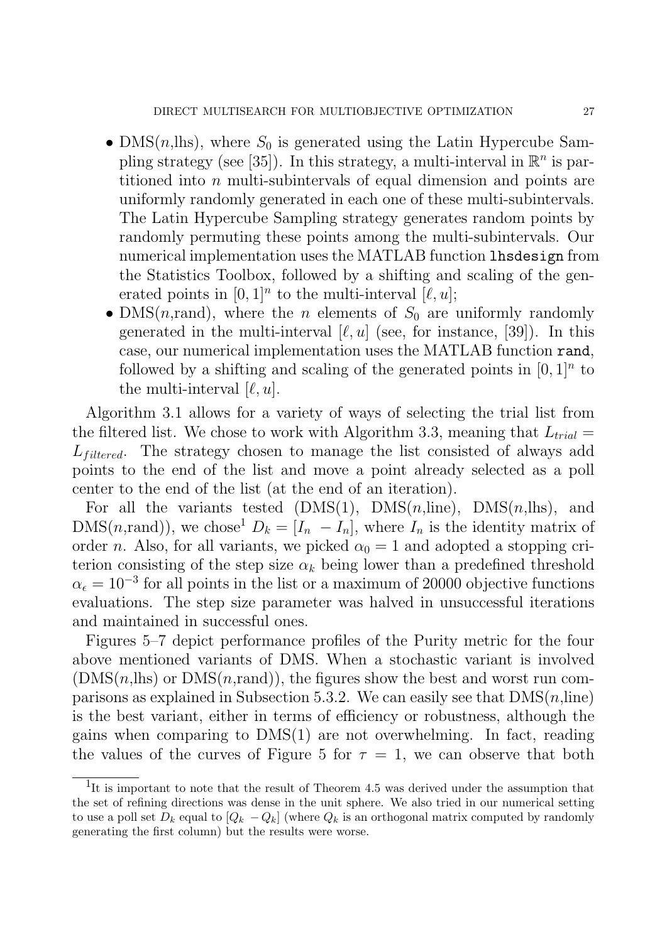- DMS $(n, \text{lhs})$ , where  $S_0$  is generated using the Latin Hypercube Sampling strategy (see [35]). In this strategy, a multi-interval in  $\mathbb{R}^n$  is partitioned into n multi-subintervals of equal dimension and points are uniformly randomly generated in each one of these multi-subintervals. The Latin Hypercube Sampling strategy generates random points by randomly permuting these points among the multi-subintervals. Our numerical implementation uses the MATLAB function lhsdesign from the Statistics Toolbox, followed by a shifting and scaling of the generated points in  $[0, 1]^n$  to the multi-interval  $[\ell, u]$ ;
- DMS $(n, \text{rand})$ , where the *n* elements of  $S_0$  are uniformly randomly generated in the multi-interval  $[\ell, u]$  (see, for instance, [39]). In this case, our numerical implementation uses the MATLAB function rand, followed by a shifting and scaling of the generated points in  $[0, 1]^n$  to the multi-interval  $[\ell, u]$ .

Algorithm 3.1 allows for a variety of ways of selecting the trial list from the filtered list. We chose to work with Algorithm 3.3, meaning that  $L_{trial} =$  $L_{filtered}$ . The strategy chosen to manage the list consisted of always add points to the end of the list and move a point already selected as a poll center to the end of the list (at the end of an iteration).

For all the variants tested  $(DMS(1), DMS(n,line), DMS(n,lhs), and$ DMS(n,rand)), we chose  $D_k = [I_n - I_n]$ , where  $I_n$  is the identity matrix of order n. Also, for all variants, we picked  $\alpha_0 = 1$  and adopted a stopping criterion consisting of the step size  $\alpha_k$  being lower than a predefined threshold  $\alpha_{\epsilon} = 10^{-3}$  for all points in the list or a maximum of 20000 objective functions evaluations. The step size parameter was halved in unsuccessful iterations and maintained in successful ones.

Figures 5–7 depict performance profiles of the Purity metric for the four above mentioned variants of DMS. When a stochastic variant is involved  $(DMS(n, lhs)$  or  $DMS(n, rand)$ , the figures show the best and worst run comparisons as explained in Subsection 5.3.2. We can easily see that  $\text{DMS}(n,lin)$ is the best variant, either in terms of efficiency or robustness, although the gains when comparing to DMS(1) are not overwhelming. In fact, reading the values of the curves of Figure 5 for  $\tau = 1$ , we can observe that both

<sup>&</sup>lt;sup>1</sup>It is important to note that the result of Theorem 4.5 was derived under the assumption that the set of refining directions was dense in the unit sphere. We also tried in our numerical setting to use a poll set  $D_k$  equal to  $[Q_k - Q_k]$  (where  $Q_k$  is an orthogonal matrix computed by randomly generating the first column) but the results were worse.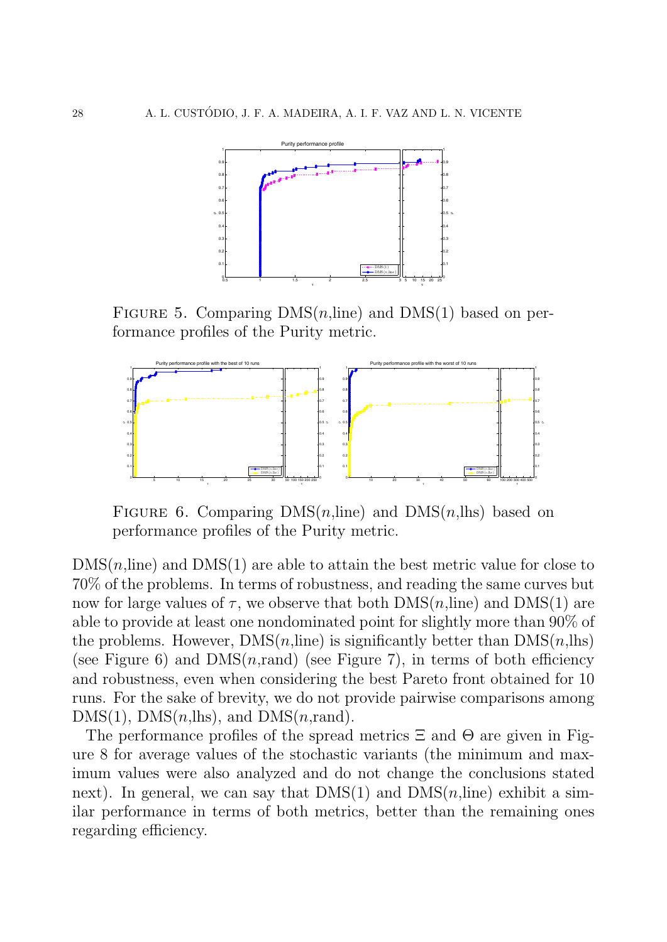

FIGURE 5. Comparing  $DMS(n, line)$  and  $DMS(1)$  based on performance profiles of the Purity metric.



FIGURE 6. Comparing  $DMS(n, line)$  and  $DMS(n, lhs)$  based on performance profiles of the Purity metric.

 $DMS(n, line)$  and  $DMS(1)$  are able to attain the best metric value for close to 70% of the problems. In terms of robustness, and reading the same curves but now for large values of  $\tau$ , we observe that both  $\text{DMS}(n,lin)$  and  $\text{DMS}(1)$  are able to provide at least one nondominated point for slightly more than 90% of the problems. However,  $DMS(n, line)$  is significantly better than  $DMS(n, lhs)$ (see Figure 6) and  $DMS(n, rand)$  (see Figure 7), in terms of both efficiency and robustness, even when considering the best Pareto front obtained for 10 runs. For the sake of brevity, we do not provide pairwise comparisons among  $DMS(1)$ ,  $DMS(n, h_s)$ , and  $DMS(n, rand)$ .

The performance profiles of the spread metrics  $\Xi$  and  $\Theta$  are given in Figure 8 for average values of the stochastic variants (the minimum and maximum values were also analyzed and do not change the conclusions stated next). In general, we can say that  $DMS(1)$  and  $DMS(n,line)$  exhibit a similar performance in terms of both metrics, better than the remaining ones regarding efficiency.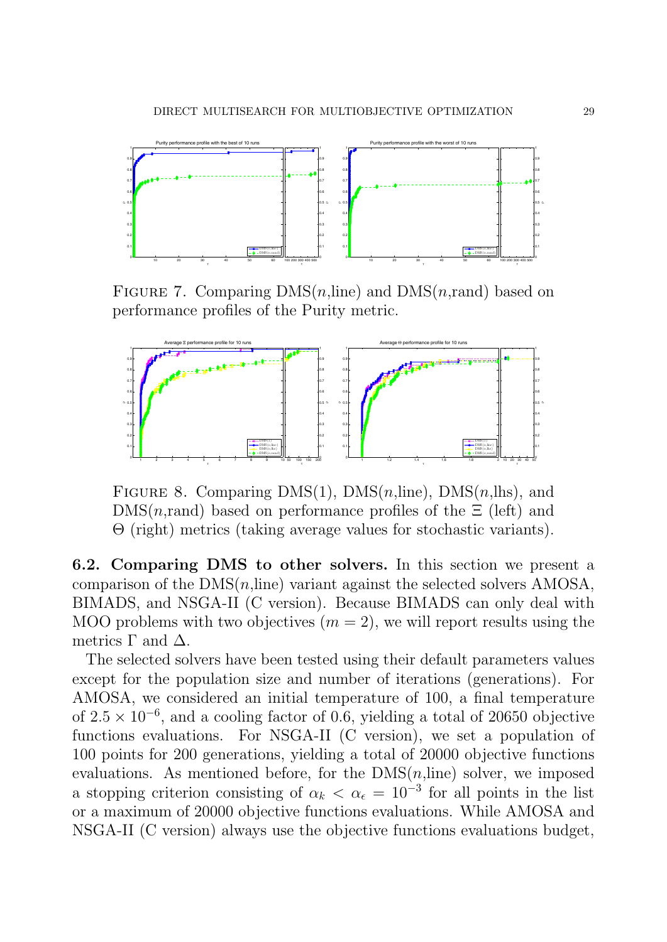

FIGURE 7. Comparing  $DMS(n, line)$  and  $DMS(n, rand)$  based on performance profiles of the Purity metric.



FIGURE 8. Comparing DMS(1),  $DMS(n,line)$ ,  $DMS(n,lhs)$ , and  $DMS(n, rand)$  based on performance profiles of the  $\Xi$  (left) and Θ (right) metrics (taking average values for stochastic variants).

6.2. Comparing DMS to other solvers. In this section we present a comparison of the  $DMS(n, line)$  variant against the selected solvers AMOSA, BIMADS, and NSGA-II (C version). Because BIMADS can only deal with MOO problems with two objectives  $(m = 2)$ , we will report results using the metrics Γ and  $Δ$ .

The selected solvers have been tested using their default parameters values except for the population size and number of iterations (generations). For AMOSA, we considered an initial temperature of 100, a final temperature of  $2.5 \times 10^{-6}$ , and a cooling factor of 0.6, yielding a total of 20650 objective functions evaluations. For NSGA-II (C version), we set a population of 100 points for 200 generations, yielding a total of 20000 objective functions evaluations. As mentioned before, for the  $DMS(n, line)$  solver, we imposed a stopping criterion consisting of  $\alpha_k < \alpha_{\epsilon} = 10^{-3}$  for all points in the list or a maximum of 20000 objective functions evaluations. While AMOSA and NSGA-II (C version) always use the objective functions evaluations budget,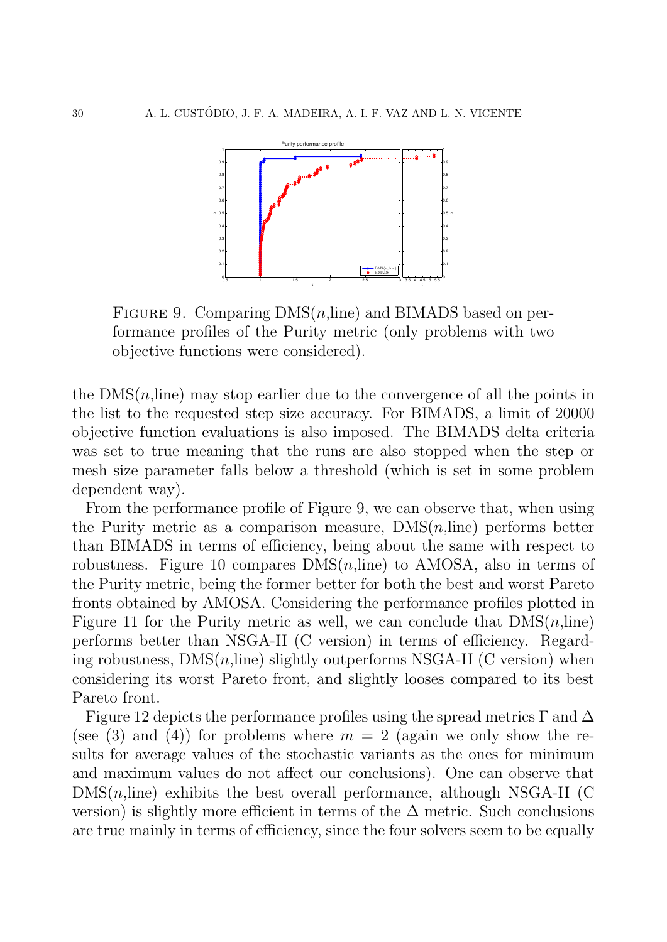

FIGURE 9. Comparing  $DMS(n, line)$  and BIMADS based on performance profiles of the Purity metric (only problems with two objective functions were considered).

the  $\text{DMS}(n, \text{line})$  may stop earlier due to the convergence of all the points in the list to the requested step size accuracy. For BIMADS, a limit of 20000 objective function evaluations is also imposed. The BIMADS delta criteria was set to true meaning that the runs are also stopped when the step or mesh size parameter falls below a threshold (which is set in some problem dependent way).

From the performance profile of Figure 9, we can observe that, when using the Purity metric as a comparison measure,  $\text{DMS}(n, \text{line})$  performs better than BIMADS in terms of efficiency, being about the same with respect to robustness. Figure 10 compares  $\text{DMS}(n, \text{line})$  to AMOSA, also in terms of the Purity metric, being the former better for both the best and worst Pareto fronts obtained by AMOSA. Considering the performance profiles plotted in Figure 11 for the Purity metric as well, we can conclude that  $DMS(n, line)$ performs better than NSGA-II (C version) in terms of efficiency. Regarding robustness,  $DMS(n, line)$  slightly outperforms NSGA-II (C version) when considering its worst Pareto front, and slightly looses compared to its best Pareto front.

Figure 12 depicts the performance profiles using the spread metrics  $\Gamma$  and  $\Delta$ (see (3) and (4)) for problems where  $m = 2$  (again we only show the results for average values of the stochastic variants as the ones for minimum and maximum values do not affect our conclusions). One can observe that  $DMS(n, line)$  exhibits the best overall performance, although NSGA-II (C) version) is slightly more efficient in terms of the  $\Delta$  metric. Such conclusions are true mainly in terms of efficiency, since the four solvers seem to be equally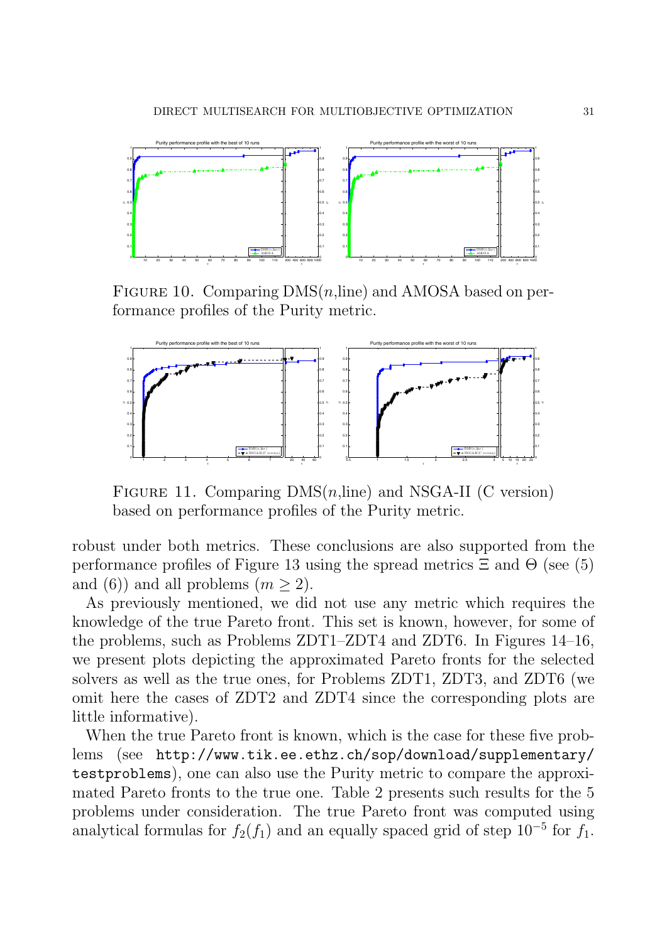

FIGURE 10. Comparing  $DMS(n, line)$  and AMOSA based on performance profiles of the Purity metric.



FIGURE 11. Comparing  $DMS(n, line)$  and NSGA-II (C version) based on performance profiles of the Purity metric.

robust under both metrics. These conclusions are also supported from the performance profiles of Figure 13 using the spread metrics  $\Xi$  and  $\Theta$  (see (5) and (6)) and all problems  $(m > 2)$ .

As previously mentioned, we did not use any metric which requires the knowledge of the true Pareto front. This set is known, however, for some of the problems, such as Problems ZDT1–ZDT4 and ZDT6. In Figures 14–16, we present plots depicting the approximated Pareto fronts for the selected solvers as well as the true ones, for Problems ZDT1, ZDT3, and ZDT6 (we omit here the cases of ZDT2 and ZDT4 since the corresponding plots are little informative).

When the true Pareto front is known, which is the case for these five problems (see http://www.tik.ee.ethz.ch/sop/download/supplementary/ testproblems), one can also use the Purity metric to compare the approximated Pareto fronts to the true one. Table 2 presents such results for the 5 problems under consideration. The true Pareto front was computed using analytical formulas for  $f_2(f_1)$  and an equally spaced grid of step  $10^{-5}$  for  $f_1$ .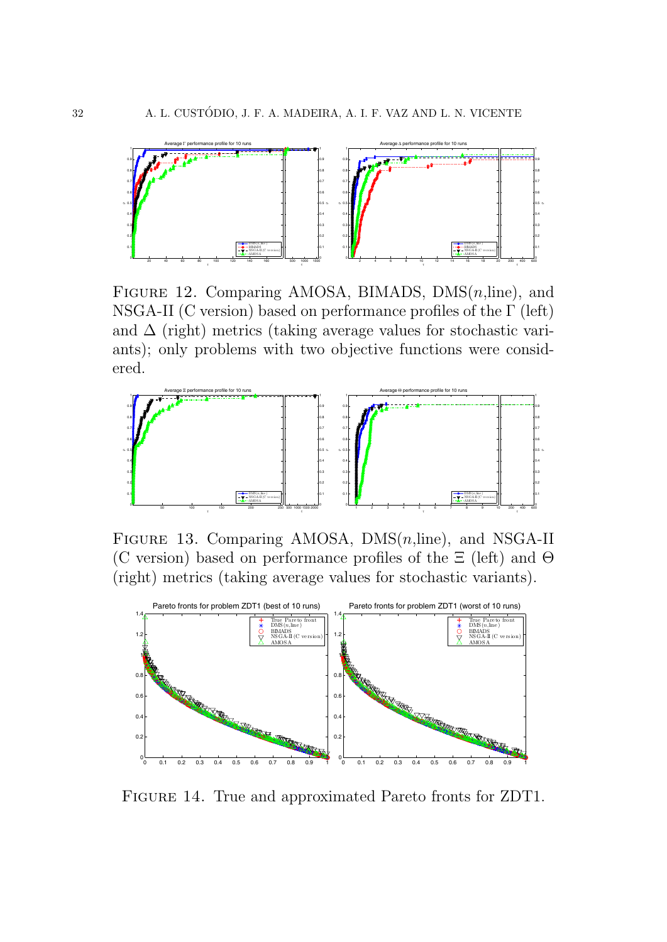

FIGURE 12. Comparing AMOSA, BIMADS,  $DMS(n, line)$ , and NSGA-II (C version) based on performance profiles of the Γ (left) and  $\Delta$  (right) metrics (taking average values for stochastic variants); only problems with two objective functions were considered.



FIGURE 13. Comparing AMOSA,  $DMS(n, line)$ , and NSGA-II (C version) based on performance profiles of the  $\Xi$  (left) and  $\Theta$ (right) metrics (taking average values for stochastic variants).



FIGURE 14. True and approximated Pareto fronts for ZDT1.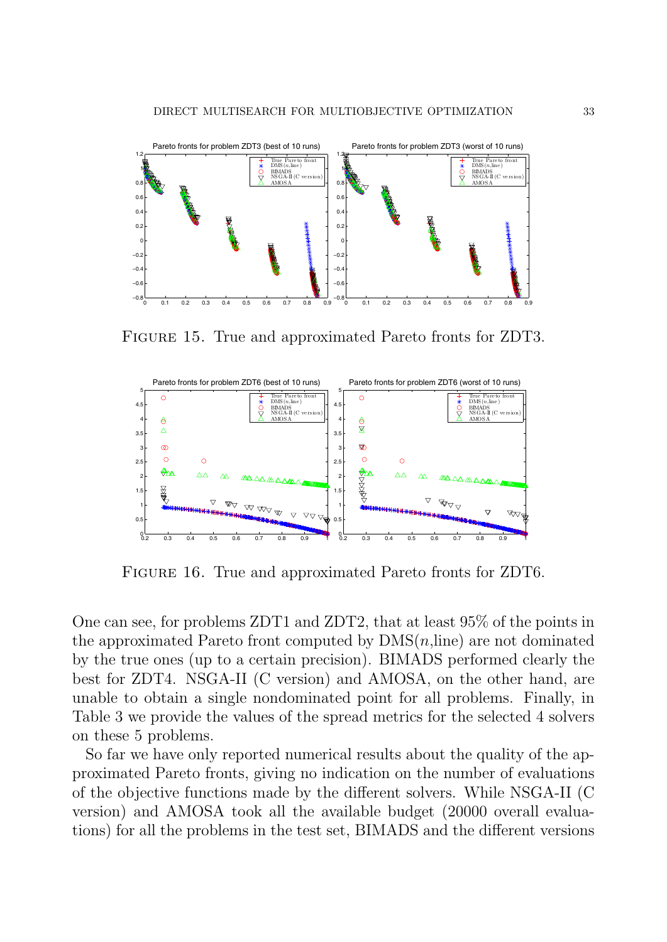

FIGURE 15. True and approximated Pareto fronts for ZDT3.



FIGURE 16. True and approximated Pareto fronts for ZDT6.

One can see, for problems ZDT1 and ZDT2, that at least 95% of the points in the approximated Pareto front computed by  $\text{DMS}(n,lin)$  are not dominated by the true ones (up to a certain precision). BIMADS performed clearly the best for ZDT4. NSGA-II (C version) and AMOSA, on the other hand, are unable to obtain a single nondominated point for all problems. Finally, in Table 3 we provide the values of the spread metrics for the selected 4 solvers on these 5 problems.

So far we have only reported numerical results about the quality of the approximated Pareto fronts, giving no indication on the number of evaluations of the objective functions made by the different solvers. While NSGA-II (C version) and AMOSA took all the available budget (20000 overall evaluations) for all the problems in the test set, BIMADS and the different versions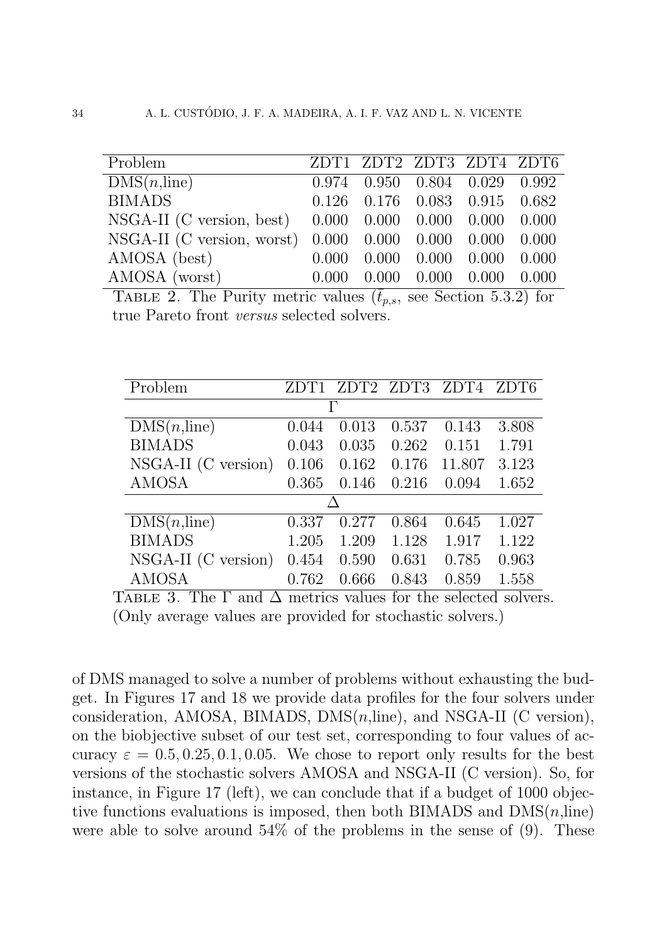| Problem                                                  | ZDT1 ZDT2 ZDT3 ZDT4 ZDT6                |  |  |
|----------------------------------------------------------|-----------------------------------------|--|--|
| $\overline{\text{DMS}(n,\text{line})}$                   | 0.974 0.950 0.804 0.029 0.992           |  |  |
| <b>BIMADS</b>                                            | 0.126 0.176 0.083 0.915 0.682           |  |  |
| NSGA-II (C version, best) 0.000 0.000 0.000 0.000 0.000  |                                         |  |  |
| NSGA-II (C version, worst) 0.000 0.000 0.000 0.000 0.000 |                                         |  |  |
| AMOSA (best)                                             | $0.000$ $0.000$ $0.000$ $0.000$ $0.000$ |  |  |
| AMOSA (worst)                                            | $0.000$ $0.000$ $0.000$ $0.000$ $0.000$ |  |  |

TABLE 2. The Purity metric values  $(\bar{t}_{p,s}$ , see Section 5.3.2) for true Pareto front versus selected solvers.

| Problem                     |       |       | ZDT2 ZDT3 ZDT4 |        | ZDT6  |  |  |  |
|-----------------------------|-------|-------|----------------|--------|-------|--|--|--|
| Г                           |       |       |                |        |       |  |  |  |
| $\text{DNS}(n,\text{line})$ | 0.044 | 0.013 | 0.537          | 0.143  | 3.808 |  |  |  |
| <b>BIMADS</b>               | 0.043 | 0.035 | 0.262          | 0.151  | 1.791 |  |  |  |
| $NSGA-II (C version)$       | 0.106 | 0.162 | 0.176          | 11.807 | 3.123 |  |  |  |
| <b>AMOSA</b>                | 0.365 | 0.146 | 0.216          | 0.094  | 1.652 |  |  |  |
|                             |       |       |                |        |       |  |  |  |
| DMS(n, line)                | 0.337 | 0.277 | 0.864          | 0.645  | 1.027 |  |  |  |
| <b>BIMADS</b>               | 1.205 | 1.209 | 1.128          | 1.917  | 1.122 |  |  |  |
| $NSGA-II (C version)$       | 0.454 | 0.590 | 0.631          | 0.785  | 0.963 |  |  |  |
| <b>AMOSA</b>                | 0.762 | 0.666 | 0.843          | 0.859  | 1.558 |  |  |  |

TABLE 3. The  $\Gamma$  and  $\Delta$  metrics values for the selected solvers. (Only average values are provided for stochastic solvers.)

of DMS managed to solve a number of problems without exhausting the budget. In Figures 17 and 18 we provide data profiles for the four solvers under consideration, AMOSA, BIMADS,  $DMS(n, line)$ , and NSGA-II (C version), on the biobjective subset of our test set, corresponding to four values of accuracy  $\varepsilon = 0.5, 0.25, 0.1, 0.05$ . We chose to report only results for the best versions of the stochastic solvers AMOSA and NSGA-II (C version). So, for instance, in Figure 17 (left), we can conclude that if a budget of 1000 objective functions evaluations is imposed, then both BIMADS and  $\text{DMS}(n, \text{line})$ were able to solve around  $54\%$  of the problems in the sense of (9). These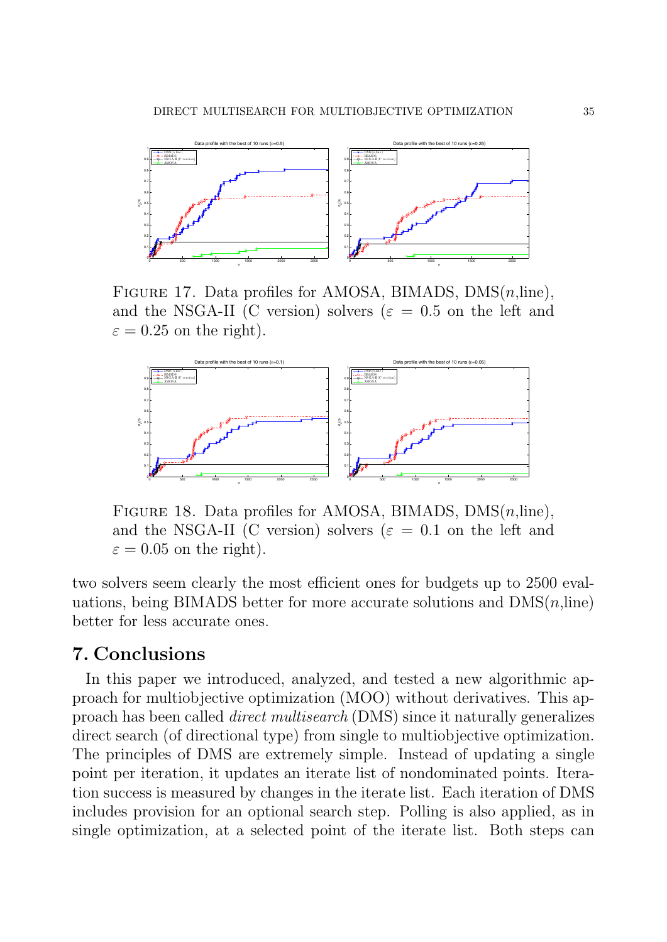

FIGURE 17. Data profiles for AMOSA, BIMADS,  $DMS(n, line)$ , and the NSGA-II (C version) solvers ( $\varepsilon = 0.5$  on the left and  $\varepsilon = 0.25$  on the right).



FIGURE 18. Data profiles for AMOSA, BIMADS,  $\text{DMS}(n, line)$ , and the NSGA-II (C version) solvers ( $\varepsilon = 0.1$  on the left and  $\varepsilon = 0.05$  on the right).

two solvers seem clearly the most efficient ones for budgets up to 2500 evaluations, being BIMADS better for more accurate solutions and  $\text{DNS}(n,\text{line})$ better for less accurate ones.

## 7. Conclusions

In this paper we introduced, analyzed, and tested a new algorithmic approach for multiobjective optimization (MOO) without derivatives. This approach has been called direct multisearch (DMS) since it naturally generalizes direct search (of directional type) from single to multiobjective optimization. The principles of DMS are extremely simple. Instead of updating a single point per iteration, it updates an iterate list of nondominated points. Iteration success is measured by changes in the iterate list. Each iteration of DMS includes provision for an optional search step. Polling is also applied, as in single optimization, at a selected point of the iterate list. Both steps can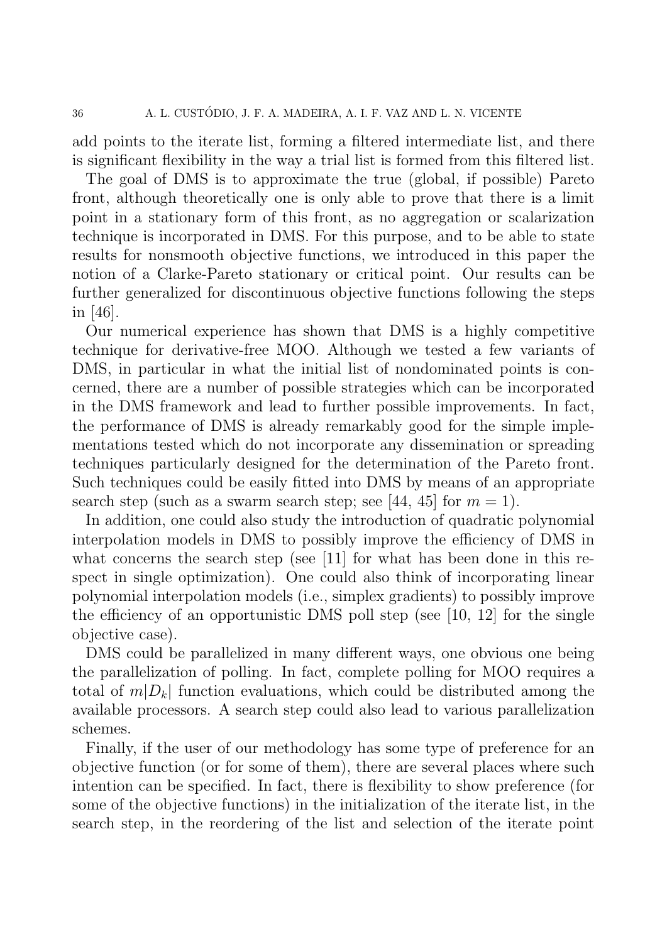add points to the iterate list, forming a filtered intermediate list, and there is significant flexibility in the way a trial list is formed from this filtered list.

The goal of DMS is to approximate the true (global, if possible) Pareto front, although theoretically one is only able to prove that there is a limit point in a stationary form of this front, as no aggregation or scalarization technique is incorporated in DMS. For this purpose, and to be able to state results for nonsmooth objective functions, we introduced in this paper the notion of a Clarke-Pareto stationary or critical point. Our results can be further generalized for discontinuous objective functions following the steps in [46].

Our numerical experience has shown that DMS is a highly competitive technique for derivative-free MOO. Although we tested a few variants of DMS, in particular in what the initial list of nondominated points is concerned, there are a number of possible strategies which can be incorporated in the DMS framework and lead to further possible improvements. In fact, the performance of DMS is already remarkably good for the simple implementations tested which do not incorporate any dissemination or spreading techniques particularly designed for the determination of the Pareto front. Such techniques could be easily fitted into DMS by means of an appropriate search step (such as a swarm search step; see [44, 45] for  $m = 1$ ).

In addition, one could also study the introduction of quadratic polynomial interpolation models in DMS to possibly improve the efficiency of DMS in what concerns the search step (see [11] for what has been done in this respect in single optimization). One could also think of incorporating linear polynomial interpolation models (i.e., simplex gradients) to possibly improve the efficiency of an opportunistic DMS poll step (see [10, 12] for the single objective case).

DMS could be parallelized in many different ways, one obvious one being the parallelization of polling. In fact, complete polling for MOO requires a total of  $m|D_k|$  function evaluations, which could be distributed among the available processors. A search step could also lead to various parallelization schemes.

Finally, if the user of our methodology has some type of preference for an objective function (or for some of them), there are several places where such intention can be specified. In fact, there is flexibility to show preference (for some of the objective functions) in the initialization of the iterate list, in the search step, in the reordering of the list and selection of the iterate point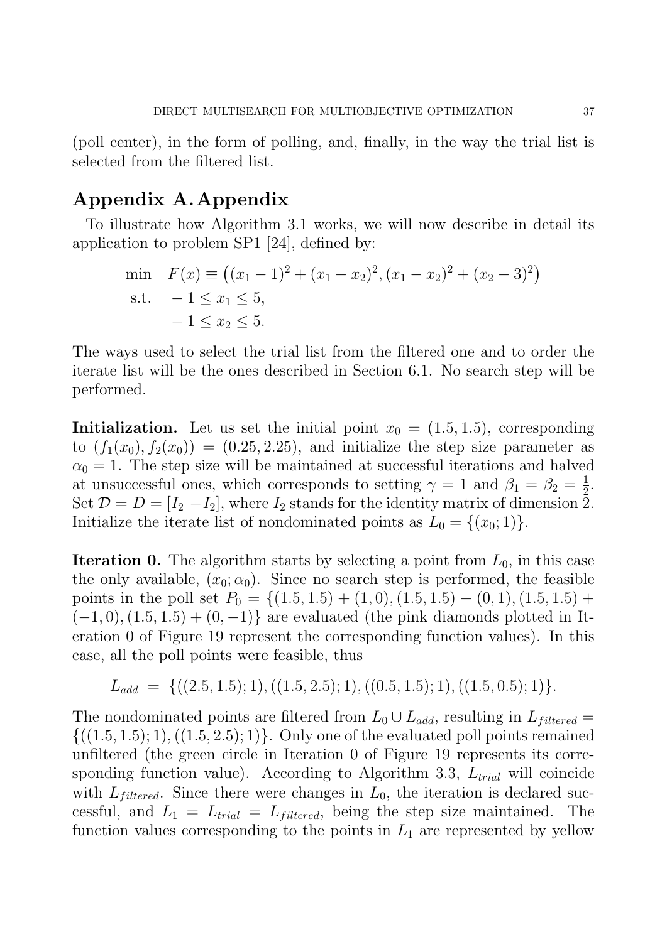(poll center), in the form of polling, and, finally, in the way the trial list is selected from the filtered list.

# Appendix A.Appendix

To illustrate how Algorithm 3.1 works, we will now describe in detail its application to problem SP1 [24], defined by:

$$
\begin{aligned}\n\min \quad & F(x) \equiv \left( (x_1 - 1)^2 + (x_1 - x_2)^2, (x_1 - x_2)^2 + (x_2 - 3)^2 \right) \\
\text{s.t.} \quad & -1 \le x_1 \le 5, \\
& -1 \le x_2 \le 5.\n\end{aligned}
$$

The ways used to select the trial list from the filtered one and to order the iterate list will be the ones described in Section 6.1. No search step will be performed.

Initialization. Let us set the initial point  $x_0 = (1.5, 1.5)$ , corresponding to  $(f_1(x_0), f_2(x_0)) = (0.25, 2.25)$ , and initialize the step size parameter as  $\alpha_0 = 1$ . The step size will be maintained at successful iterations and halved at unsuccessful ones, which corresponds to setting  $\gamma = 1$  and  $\beta_1 = \beta_2 = \frac{1}{2}$  $rac{1}{2}$ . Set  $\mathcal{D} = D = [I_2 - I_2]$ , where  $I_2$  stands for the identity matrix of dimension 2. Initialize the iterate list of nondominated points as  $L_0 = \{(x_0; 1)\}.$ 

**Iteration 0.** The algorithm starts by selecting a point from  $L_0$ , in this case the only available,  $(x_0; \alpha_0)$ . Since no search step is performed, the feasible points in the poll set  $P_0 = \{(1.5, 1.5) + (1, 0), (1.5, 1.5) + (0, 1), (1.5, 1.5) +$  $(-1,0), (1.5, 1.5) + (0,-1)$  are evaluated (the pink diamonds plotted in Iteration 0 of Figure 19 represent the corresponding function values). In this case, all the poll points were feasible, thus

$$
L_{add} = \{((2.5, 1.5); 1), ((1.5, 2.5); 1), ((0.5, 1.5); 1), ((1.5, 0.5); 1)\}.
$$

The nondominated points are filtered from  $L_0 \cup L_{add}$ , resulting in  $L_{filtered} =$  $\{((1.5, 1.5); 1), ((1.5, 2.5); 1)\}.$  Only one of the evaluated poll points remained unfiltered (the green circle in Iteration 0 of Figure 19 represents its corresponding function value). According to Algorithm 3.3,  $L_{trial}$  will coincide with  $L_{filtered}$ . Since there were changes in  $L_0$ , the iteration is declared successful, and  $L_1 = L_{trial} = L_{filtered}$ , being the step size maintained. The function values corresponding to the points in  $L_1$  are represented by yellow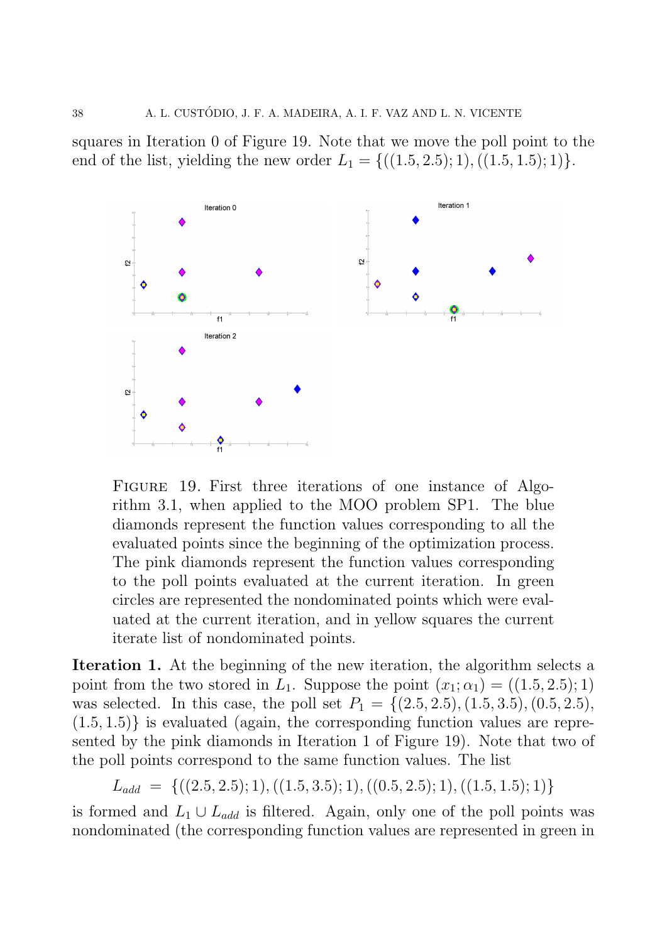squares in Iteration 0 of Figure 19. Note that we move the poll point to the end of the list, yielding the new order  $L_1 = \{((1.5, 2.5); 1), ((1.5, 1.5); 1)\}.$ 



FIGURE 19. First three iterations of one instance of Algorithm 3.1, when applied to the MOO problem SP1. The blue diamonds represent the function values corresponding to all the evaluated points since the beginning of the optimization process. The pink diamonds represent the function values corresponding to the poll points evaluated at the current iteration. In green circles are represented the nondominated points which were evaluated at the current iteration, and in yellow squares the current iterate list of nondominated points.

Iteration 1. At the beginning of the new iteration, the algorithm selects a point from the two stored in  $L_1$ . Suppose the point  $(x_1; \alpha_1) = ((1.5, 2.5); 1)$ was selected. In this case, the poll set  $P_1 = \{(2.5, 2.5), (1.5, 3.5), (0.5, 2.5),$  $(1.5, 1.5)$  is evaluated (again, the corresponding function values are represented by the pink diamonds in Iteration 1 of Figure 19). Note that two of the poll points correspond to the same function values. The list

 $L_{add} = \{((2.5, 2.5); 1), ((1.5, 3.5); 1), ((0.5, 2.5); 1), ((1.5, 1.5); 1)\}$ 

is formed and  $L_1 \cup L_{add}$  is filtered. Again, only one of the poll points was nondominated (the corresponding function values are represented in green in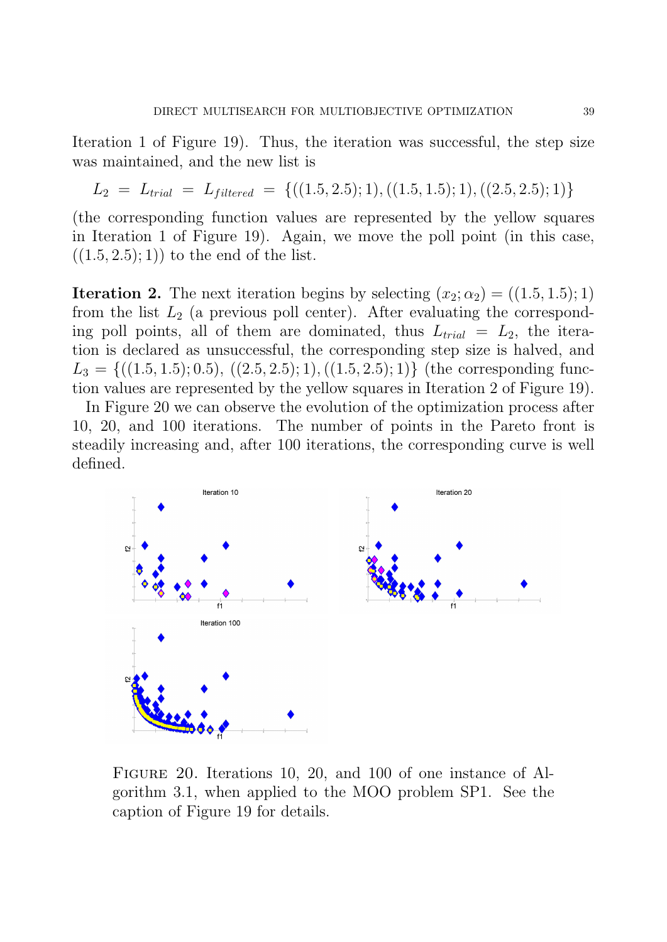Iteration 1 of Figure 19). Thus, the iteration was successful, the step size was maintained, and the new list is

$$
L_2 = L_{trial} = L_{filtered} = \{((1.5, 2.5); 1), ((1.5, 1.5); 1), ((2.5, 2.5); 1)\}
$$

(the corresponding function values are represented by the yellow squares in Iteration 1 of Figure 19). Again, we move the poll point (in this case,  $((1.5, 2.5); 1))$  to the end of the list.

**Iteration 2.** The next iteration begins by selecting  $(x_2; \alpha_2) = ((1.5, 1.5); 1)$ from the list  $L_2$  (a previous poll center). After evaluating the corresponding poll points, all of them are dominated, thus  $L_{trial} = L_2$ , the iteration is declared as unsuccessful, the corresponding step size is halved, and  $L_3 = \{((1.5, 1.5); 0.5), ((2.5, 2.5); 1), ((1.5, 2.5); 1)\}\$  (the corresponding function values are represented by the yellow squares in Iteration 2 of Figure 19).

In Figure 20 we can observe the evolution of the optimization process after 10, 20, and 100 iterations. The number of points in the Pareto front is steadily increasing and, after 100 iterations, the corresponding curve is well defined.



FIGURE 20. Iterations 10, 20, and 100 of one instance of Algorithm 3.1, when applied to the MOO problem SP1. See the caption of Figure 19 for details.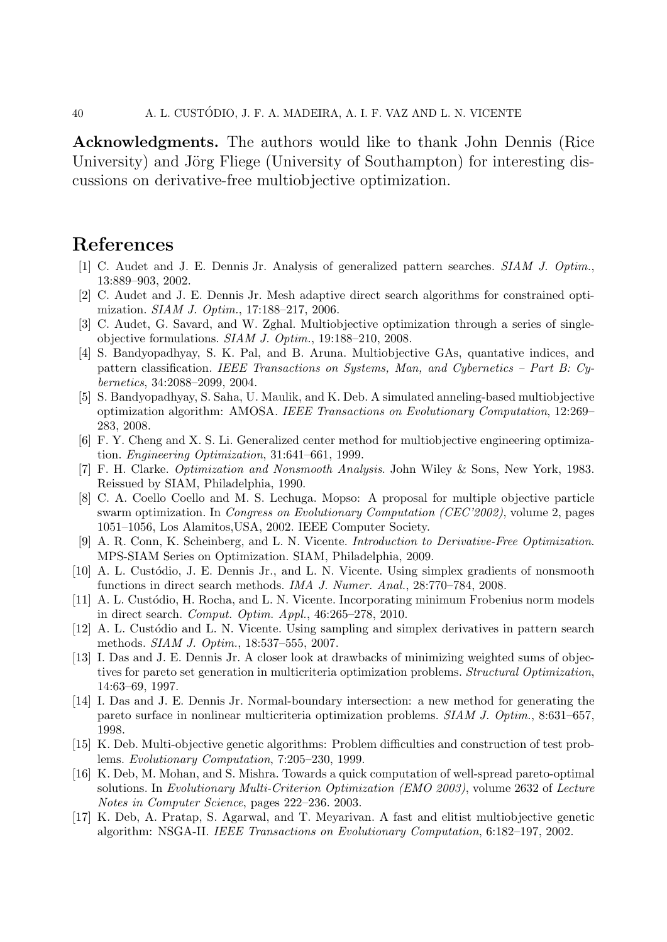Acknowledgments. The authors would like to thank John Dennis (Rice University) and Jörg Fliege (University of Southampton) for interesting discussions on derivative-free multiobjective optimization.

# References

- [1] C. Audet and J. E. Dennis Jr. Analysis of generalized pattern searches. SIAM J. Optim., 13:889–903, 2002.
- [2] C. Audet and J. E. Dennis Jr. Mesh adaptive direct search algorithms for constrained optimization. SIAM J. Optim., 17:188–217, 2006.
- [3] C. Audet, G. Savard, and W. Zghal. Multiobjective optimization through a series of singleobjective formulations. SIAM J. Optim., 19:188–210, 2008.
- [4] S. Bandyopadhyay, S. K. Pal, and B. Aruna. Multiobjective GAs, quantative indices, and pattern classification. IEEE Transactions on Systems, Man, and Cybernetics – Part B: Cybernetics, 34:2088–2099, 2004.
- [5] S. Bandyopadhyay, S. Saha, U. Maulik, and K. Deb. A simulated anneling-based multiobjective optimization algorithm: AMOSA. IEEE Transactions on Evolutionary Computation, 12:269– 283, 2008.
- [6] F. Y. Cheng and X. S. Li. Generalized center method for multiobjective engineering optimization. Engineering Optimization, 31:641–661, 1999.
- [7] F. H. Clarke. Optimization and Nonsmooth Analysis. John Wiley & Sons, New York, 1983. Reissued by SIAM, Philadelphia, 1990.
- [8] C. A. Coello Coello and M. S. Lechuga. Mopso: A proposal for multiple objective particle swarm optimization. In Congress on Evolutionary Computation (CEC'2002), volume 2, pages 1051–1056, Los Alamitos,USA, 2002. IEEE Computer Society.
- [9] A. R. Conn, K. Scheinberg, and L. N. Vicente. Introduction to Derivative-Free Optimization. MPS-SIAM Series on Optimization. SIAM, Philadelphia, 2009.
- [10] A. L. Custódio, J. E. Dennis Jr., and L. N. Vicente. Using simplex gradients of nonsmooth functions in direct search methods. IMA J. Numer. Anal., 28:770–784, 2008.
- [11] A. L. Custódio, H. Rocha, and L. N. Vicente. Incorporating minimum Frobenius norm models in direct search. Comput. Optim. Appl., 46:265–278, 2010.
- [12] A. L. Custódio and L. N. Vicente. Using sampling and simplex derivatives in pattern search methods. SIAM J. Optim., 18:537–555, 2007.
- [13] I. Das and J. E. Dennis Jr. A closer look at drawbacks of minimizing weighted sums of objectives for pareto set generation in multicriteria optimization problems. *Structural Optimization*, 14:63–69, 1997.
- [14] I. Das and J. E. Dennis Jr. Normal-boundary intersection: a new method for generating the pareto surface in nonlinear multicriteria optimization problems. SIAM J. Optim., 8:631–657, 1998.
- [15] K. Deb. Multi-objective genetic algorithms: Problem difficulties and construction of test problems. Evolutionary Computation, 7:205–230, 1999.
- [16] K. Deb, M. Mohan, and S. Mishra. Towards a quick computation of well-spread pareto-optimal solutions. In Evolutionary Multi-Criterion Optimization (EMO 2003), volume 2632 of Lecture Notes in Computer Science, pages 222–236. 2003.
- [17] K. Deb, A. Pratap, S. Agarwal, and T. Meyarivan. A fast and elitist multiobjective genetic algorithm: NSGA-II. IEEE Transactions on Evolutionary Computation, 6:182–197, 2002.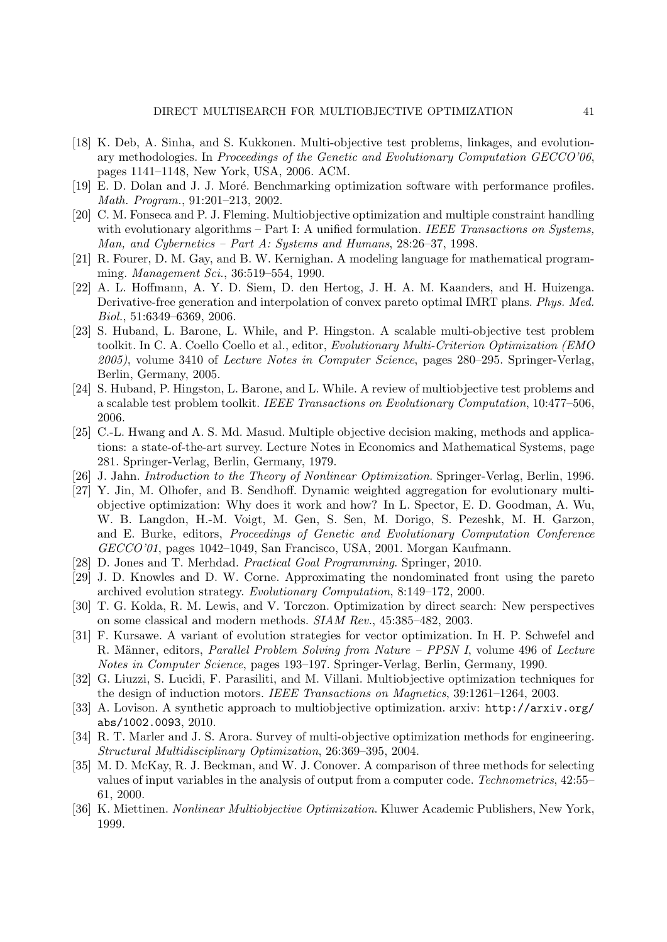- [18] K. Deb, A. Sinha, and S. Kukkonen. Multi-objective test problems, linkages, and evolutionary methodologies. In Proceedings of the Genetic and Evolutionary Computation GECCO'06, pages 1141–1148, New York, USA, 2006. ACM.
- [19] E. D. Dolan and J. J. Moré. Benchmarking optimization software with performance profiles. Math. Program., 91:201–213, 2002.
- [20] C. M. Fonseca and P. J. Fleming. Multiobjective optimization and multiple constraint handling with evolutionary algorithms – Part I: A unified formulation. IEEE Transactions on Systems, Man, and Cybernetics – Part A: Systems and Humans, 28:26–37, 1998.
- [21] R. Fourer, D. M. Gay, and B. W. Kernighan. A modeling language for mathematical programming. Management Sci., 36:519–554, 1990.
- [22] A. L. Hoffmann, A. Y. D. Siem, D. den Hertog, J. H. A. M. Kaanders, and H. Huizenga. Derivative-free generation and interpolation of convex pareto optimal IMRT plans. Phys. Med. Biol., 51:6349–6369, 2006.
- [23] S. Huband, L. Barone, L. While, and P. Hingston. A scalable multi-objective test problem toolkit. In C. A. Coello Coello et al., editor, Evolutionary Multi-Criterion Optimization (EMO 2005), volume 3410 of Lecture Notes in Computer Science, pages 280–295. Springer-Verlag, Berlin, Germany, 2005.
- [24] S. Huband, P. Hingston, L. Barone, and L. While. A review of multiobjective test problems and a scalable test problem toolkit. IEEE Transactions on Evolutionary Computation, 10:477–506, 2006.
- [25] C.-L. Hwang and A. S. Md. Masud. Multiple objective decision making, methods and applications: a state-of-the-art survey. Lecture Notes in Economics and Mathematical Systems, page 281. Springer-Verlag, Berlin, Germany, 1979.
- [26] J. Jahn. Introduction to the Theory of Nonlinear Optimization. Springer-Verlag, Berlin, 1996.
- [27] Y. Jin, M. Olhofer, and B. Sendhoff. Dynamic weighted aggregation for evolutionary multiobjective optimization: Why does it work and how? In L. Spector, E. D. Goodman, A. Wu, W. B. Langdon, H.-M. Voigt, M. Gen, S. Sen, M. Dorigo, S. Pezeshk, M. H. Garzon, and E. Burke, editors, Proceedings of Genetic and Evolutionary Computation Conference GECCO'01, pages 1042–1049, San Francisco, USA, 2001. Morgan Kaufmann.
- [28] D. Jones and T. Merhdad. Practical Goal Programming. Springer, 2010.
- [29] J. D. Knowles and D. W. Corne. Approximating the nondominated front using the pareto archived evolution strategy. Evolutionary Computation, 8:149–172, 2000.
- [30] T. G. Kolda, R. M. Lewis, and V. Torczon. Optimization by direct search: New perspectives on some classical and modern methods. SIAM Rev., 45:385–482, 2003.
- [31] F. Kursawe. A variant of evolution strategies for vector optimization. In H. P. Schwefel and R. Männer, editors, *Parallel Problem Solving from Nature – PPSN I*, volume 496 of Lecture Notes in Computer Science, pages 193–197. Springer-Verlag, Berlin, Germany, 1990.
- [32] G. Liuzzi, S. Lucidi, F. Parasiliti, and M. Villani. Multiobjective optimization techniques for the design of induction motors. IEEE Transactions on Magnetics, 39:1261–1264, 2003.
- [33] A. Lovison. A synthetic approach to multiobjective optimization. arxiv: http://arxiv.org/ abs/1002.0093, 2010.
- [34] R. T. Marler and J. S. Arora. Survey of multi-objective optimization methods for engineering. Structural Multidisciplinary Optimization, 26:369–395, 2004.
- [35] M. D. McKay, R. J. Beckman, and W. J. Conover. A comparison of three methods for selecting values of input variables in the analysis of output from a computer code. Technometrics, 42:55– 61, 2000.
- [36] K. Miettinen. Nonlinear Multiobjective Optimization. Kluwer Academic Publishers, New York, 1999.